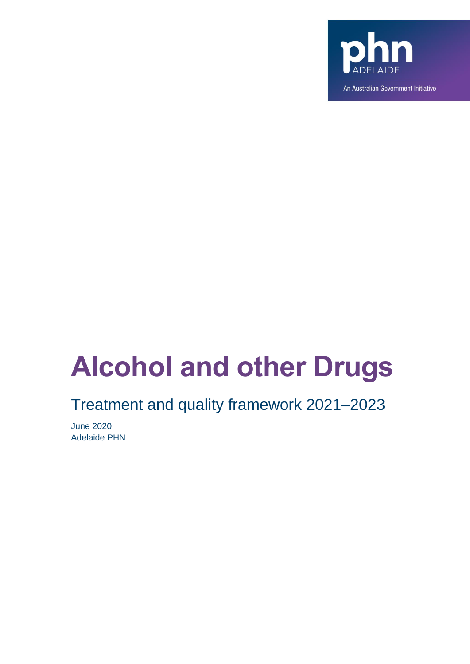

# **Alcohol and other Drugs**

# Treatment and quality framework 2021–2023

June 2020 Adelaide PHN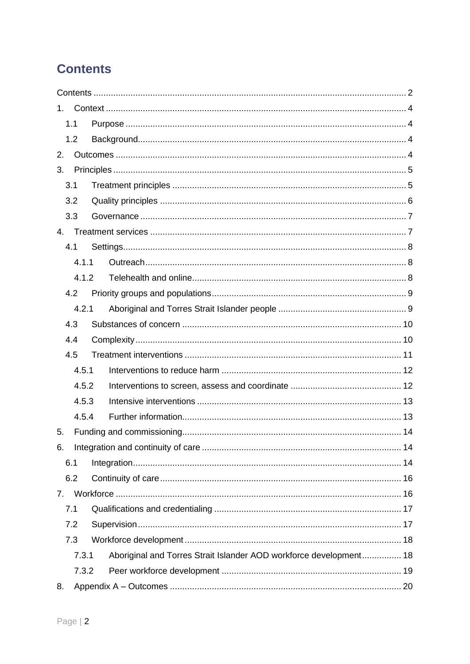# <span id="page-1-0"></span>**Contents**

| 1.          |       |                                                                    |  |
|-------------|-------|--------------------------------------------------------------------|--|
|             | 1.1   |                                                                    |  |
|             | 1.2   |                                                                    |  |
| 2.          |       |                                                                    |  |
| 3.          |       |                                                                    |  |
| 3.1         |       |                                                                    |  |
|             | 3.2   |                                                                    |  |
|             | 3.3   |                                                                    |  |
| $4_{\cdot}$ |       |                                                                    |  |
|             | 4.1   |                                                                    |  |
|             | 4.1.1 |                                                                    |  |
|             | 4.1.2 |                                                                    |  |
|             | 4.2   |                                                                    |  |
|             | 4.2.1 |                                                                    |  |
|             | 4.3   |                                                                    |  |
|             | 4.4   |                                                                    |  |
|             | 4.5   |                                                                    |  |
|             | 4.5.1 |                                                                    |  |
|             | 4.5.2 |                                                                    |  |
|             | 4.5.3 |                                                                    |  |
|             | 4.5.4 |                                                                    |  |
| 5.          |       |                                                                    |  |
| 6.          |       |                                                                    |  |
| 6.1         |       |                                                                    |  |
|             | 6.2   |                                                                    |  |
| 7.          |       |                                                                    |  |
| 7.1         |       |                                                                    |  |
|             | 7.2   |                                                                    |  |
|             | 7.3   |                                                                    |  |
|             | 7.3.1 | Aboriginal and Torres Strait Islander AOD workforce development 18 |  |
|             | 7.3.2 |                                                                    |  |
| 8.          |       |                                                                    |  |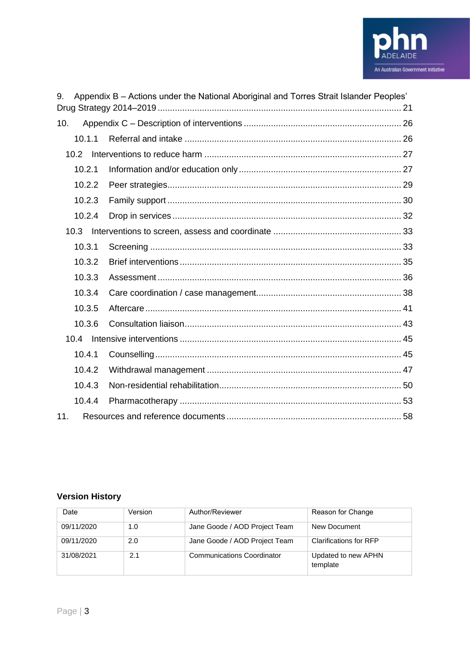

| 9.     | Appendix B - Actions under the National Aboriginal and Torres Strait Islander Peoples' |  |
|--------|----------------------------------------------------------------------------------------|--|
| 10.    |                                                                                        |  |
| 10.1.1 |                                                                                        |  |
| 10.2   |                                                                                        |  |
| 10.2.1 |                                                                                        |  |
| 10.2.2 |                                                                                        |  |
| 10.2.3 |                                                                                        |  |
| 10.2.4 |                                                                                        |  |
| 10.3   |                                                                                        |  |
| 10.3.1 |                                                                                        |  |
| 10.3.2 |                                                                                        |  |
| 10.3.3 |                                                                                        |  |
| 10.3.4 |                                                                                        |  |
| 10.3.5 |                                                                                        |  |
| 10.3.6 |                                                                                        |  |
| 10.4   |                                                                                        |  |
| 10.4.1 |                                                                                        |  |
| 10.4.2 |                                                                                        |  |
| 10.4.3 |                                                                                        |  |
| 10.4.4 |                                                                                        |  |
| 11.    |                                                                                        |  |

# **Version History**

| Date       | Version | Author/Reviewer                   | Reason for Change               |
|------------|---------|-----------------------------------|---------------------------------|
| 09/11/2020 | 1.0     | Jane Goode / AOD Project Team     | New Document                    |
| 09/11/2020 | 2.0     | Jane Goode / AOD Project Team     | <b>Clarifications for RFP</b>   |
| 31/08/2021 | 2.1     | <b>Communications Coordinator</b> | Updated to new APHN<br>template |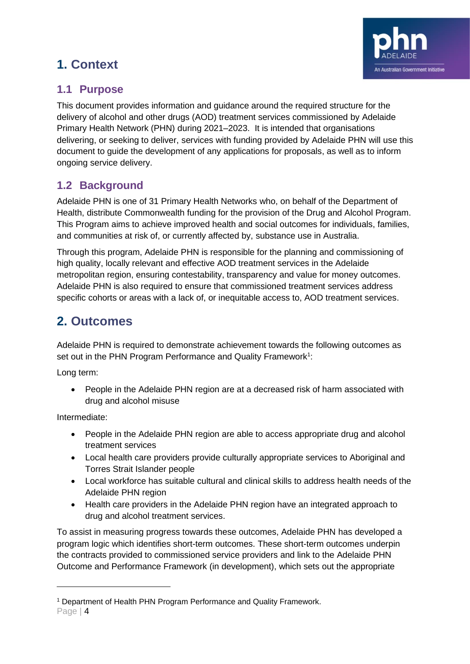# <span id="page-3-0"></span>**1. Context**



# <span id="page-3-1"></span>**1.1 Purpose**

This document provides information and guidance around the required structure for the delivery of alcohol and other drugs (AOD) treatment services commissioned by Adelaide Primary Health Network (PHN) during 2021–2023. It is intended that organisations delivering, or seeking to deliver, services with funding provided by Adelaide PHN will use this document to guide the development of any applications for proposals, as well as to inform ongoing service delivery.

# <span id="page-3-2"></span>**1.2 Background**

Adelaide PHN is one of 31 Primary Health Networks who, on behalf of the Department of Health, distribute Commonwealth funding for the provision of the Drug and Alcohol Program. This Program aims to achieve improved health and social outcomes for individuals, families, and communities at risk of, or currently affected by, substance use in Australia.

Through this program, Adelaide PHN is responsible for the planning and commissioning of high quality, locally relevant and effective AOD treatment services in the Adelaide metropolitan region, ensuring contestability, transparency and value for money outcomes. Adelaide PHN is also required to ensure that commissioned treatment services address specific cohorts or areas with a lack of, or inequitable access to, AOD treatment services.

# <span id="page-3-3"></span>**2. Outcomes**

Adelaide PHN is required to demonstrate achievement towards the following outcomes as set out in the PHN Program Performance and Quality Framework<sup>1</sup>:

Long term:

• People in the Adelaide PHN region are at a decreased risk of harm associated with drug and alcohol misuse

Intermediate:

- People in the Adelaide PHN region are able to access appropriate drug and alcohol treatment services
- Local health care providers provide culturally appropriate services to Aboriginal and Torres Strait Islander people
- Local workforce has suitable cultural and clinical skills to address health needs of the Adelaide PHN region
- Health care providers in the Adelaide PHN region have an integrated approach to drug and alcohol treatment services.

To assist in measuring progress towards these outcomes, Adelaide PHN has developed a program logic which identifies short-term outcomes. These short-term outcomes underpin the contracts provided to commissioned service providers and link to the Adelaide PHN Outcome and Performance Framework (in development), which sets out the appropriate

<sup>1</sup> Department of Health PHN Program Performance and Quality Framework.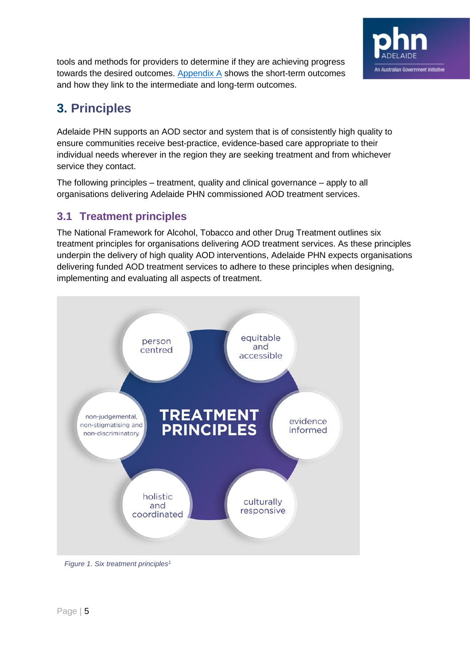

tools and methods for providers to determine if they are achieving progress towards the desired outcomes. Appendix  $A$  shows the short-term outcomes and how they link to the intermediate and long-term outcomes.

# <span id="page-4-0"></span>**3. Principles**

Adelaide PHN supports an AOD sector and system that is of consistently high quality to ensure communities receive best-practice, evidence-based care appropriate to their individual needs wherever in the region they are seeking treatment and from whichever service they contact.

The following principles – treatment, quality and clinical governance – apply to all organisations delivering Adelaide PHN commissioned AOD treatment services.

# <span id="page-4-1"></span>**3.1 Treatment principles**

The National Framework for Alcohol, Tobacco and other Drug Treatment outlines six treatment principles for organisations delivering AOD treatment services. As these principles underpin the delivery of high quality AOD interventions, Adelaide PHN expects organisations delivering funded AOD treatment services to adhere to these principles when designing, implementing and evaluating all aspects of treatment.



*Figure 1. Six treatment principles1*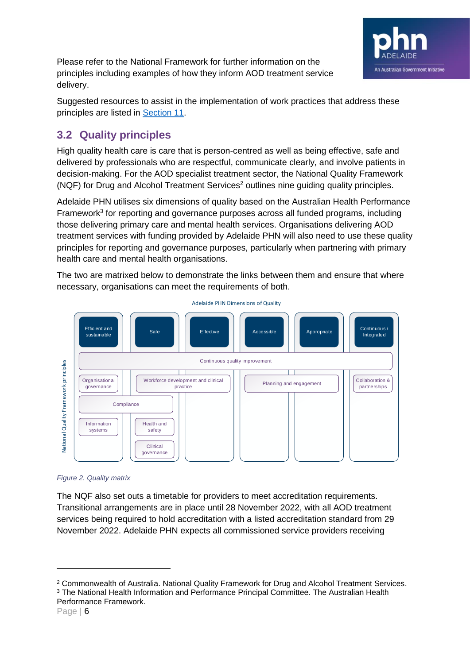

Please refer to the National Framework for further information on the principles including examples of how they inform AOD treatment service delivery.

Suggested resources to assist in the implementation of work practices that address these principles are listed in [Section 11.](#page-57-0)

# <span id="page-5-0"></span>**3.2 Quality principles**

High quality health care is care that is person-centred as well as being effective, safe and delivered by professionals who are respectful, communicate clearly, and involve patients in decision-making. For the AOD specialist treatment sector, the National Quality Framework (NQF) for Drug and Alcohol Treatment Services<sup>2</sup> outlines nine guiding quality principles.

Adelaide PHN utilises six dimensions of quality based on the Australian Health Performance Framework<sup>3</sup> for reporting and governance purposes across all funded programs, including those delivering primary care and mental health services. Organisations delivering AOD treatment services with funding provided by Adelaide PHN will also need to use these quality principles for reporting and governance purposes, particularly when partnering with primary health care and mental health organisations.

The two are matrixed below to demonstrate the links between them and ensure that where necessary, organisations can meet the requirements of both.



*Figure 2. Quality matrix*

The NQF also set outs a timetable for providers to meet accreditation requirements. Transitional arrangements are in place until 28 November 2022, with all AOD treatment services being required to hold accreditation with a listed accreditation standard from 29 November 2022. Adelaide PHN expects all commissioned service providers receiving

<sup>2</sup> Commonwealth of Australia. National Quality Framework for Drug and Alcohol Treatment Services. <sup>3</sup> The National Health Information and Performance Principal Committee. The Australian Health Performance Framework.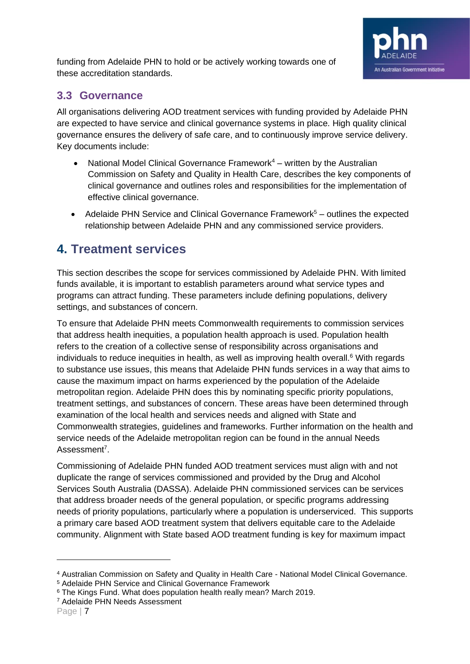

funding from Adelaide PHN to hold or be actively working towards one of these accreditation standards.

## <span id="page-6-0"></span>**3.3 Governance**

All organisations delivering AOD treatment services with funding provided by Adelaide PHN are expected to have service and clinical governance systems in place. High quality clinical governance ensures the delivery of safe care, and to continuously improve service delivery. Key documents include:

- National Model Clinical Governance Framework $4 -$  written by the Australian Commission on Safety and Quality in Health Care, describes the key components of clinical governance and outlines roles and responsibilities for the implementation of effective clinical governance.
- Adelaide PHN Service and Clinical Governance Framework<sup>5</sup> outlines the expected relationship between Adelaide PHN and any commissioned service providers.

# <span id="page-6-1"></span>**4. Treatment services**

This section describes the scope for services commissioned by Adelaide PHN. With limited funds available, it is important to establish parameters around what service types and programs can attract funding. These parameters include defining populations, delivery settings, and substances of concern.

To ensure that Adelaide PHN meets Commonwealth requirements to commission services that address health inequities, a population health approach is used. Population health refers to the creation of a collective sense of responsibility across organisations and individuals to reduce inequities in health, as well as improving health overall.<sup>6</sup> With regards to substance use issues, this means that Adelaide PHN funds services in a way that aims to cause the maximum impact on harms experienced by the population of the Adelaide metropolitan region. Adelaide PHN does this by nominating specific priority populations, treatment settings, and substances of concern. These areas have been determined through examination of the local health and services needs and aligned with State and Commonwealth strategies, guidelines and frameworks. Further information on the health and service needs of the Adelaide metropolitan region can be found in the annual Needs Assessment<sup>7</sup>.

Commissioning of Adelaide PHN funded AOD treatment services must align with and not duplicate the range of services commissioned and provided by the Drug and Alcohol Services South Australia (DASSA). Adelaide PHN commissioned services can be services that address broader needs of the general population, or specific programs addressing needs of priority populations, particularly where a population is underserviced. This supports a primary care based AOD treatment system that delivers equitable care to the Adelaide community. Alignment with State based AOD treatment funding is key for maximum impact

<sup>7</sup> Adelaide PHN Needs Assessment

<sup>4</sup> Australian Commission on Safety and Quality in Health Care - National Model Clinical Governance.

<sup>5</sup> Adelaide PHN Service and Clinical Governance Framework

<sup>&</sup>lt;sup>6</sup> The Kings Fund. What does population health really mean? March 2019.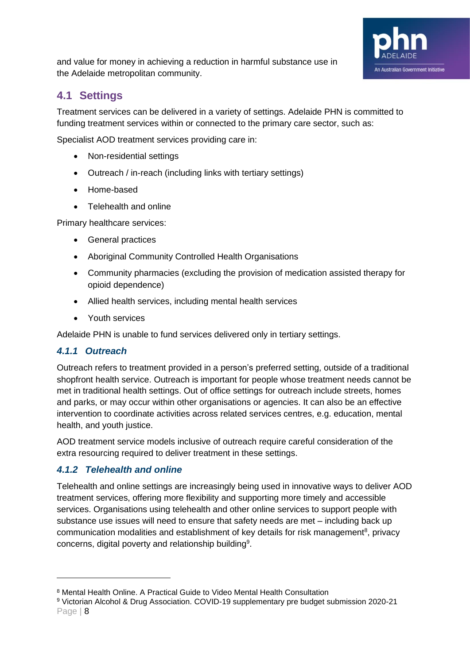

and value for money in achieving a reduction in harmful substance use in the Adelaide metropolitan community.

# <span id="page-7-0"></span>**4.1 Settings**

Treatment services can be delivered in a variety of settings. Adelaide PHN is committed to funding treatment services within or connected to the primary care sector, such as:

Specialist AOD treatment services providing care in:

- Non-residential settings
- Outreach / in-reach (including links with tertiary settings)
- Home-based
- Telehealth and online

Primary healthcare services:

- General practices
- Aboriginal Community Controlled Health Organisations
- Community pharmacies (excluding the provision of medication assisted therapy for opioid dependence)
- Allied health services, including mental health services
- Youth services

Adelaide PHN is unable to fund services delivered only in tertiary settings.

#### <span id="page-7-1"></span>*4.1.1 Outreach*

Outreach refers to treatment provided in a person's preferred setting, outside of a traditional shopfront health service. Outreach is important for people whose treatment needs cannot be met in traditional health settings. Out of office settings for outreach include streets, homes and parks, or may occur within other organisations or agencies. It can also be an effective intervention to coordinate activities across related services centres, e.g. education, mental health, and youth justice.

AOD treatment service models inclusive of outreach require careful consideration of the extra resourcing required to deliver treatment in these settings.

### <span id="page-7-2"></span>*4.1.2 Telehealth and online*

Telehealth and online settings are increasingly being used in innovative ways to deliver AOD treatment services, offering more flexibility and supporting more timely and accessible services. Organisations using telehealth and other online services to support people with substance use issues will need to ensure that safety needs are met – including back up communication modalities and establishment of key details for risk management<sup>8</sup>, privacy concerns, digital poverty and relationship building<sup>9</sup>.

<sup>8</sup> Mental Health Online. A Practical Guide to Video Mental Health Consultation

Page | 8 <sup>9</sup> Victorian Alcohol & Drug Association. COVID-19 supplementary pre budget submission 2020-21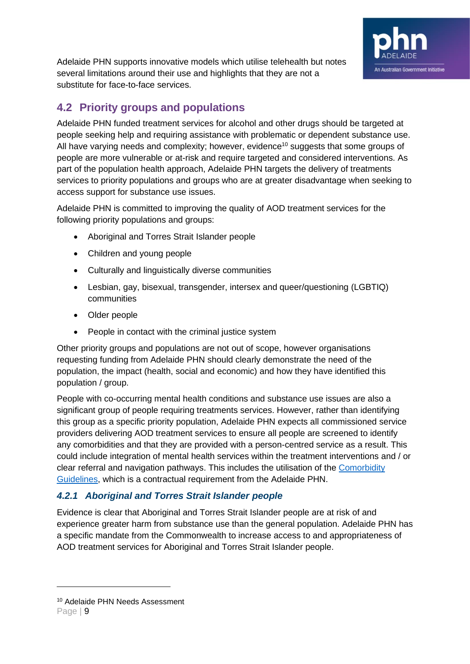

Adelaide PHN supports innovative models which utilise telehealth but notes several limitations around their use and highlights that they are not a substitute for face-to-face services.

# <span id="page-8-0"></span>**4.2 Priority groups and populations**

Adelaide PHN funded treatment services for alcohol and other drugs should be targeted at people seeking help and requiring assistance with problematic or dependent substance use. All have varying needs and complexity; however, evidence<sup>10</sup> suggests that some groups of people are more vulnerable or at-risk and require targeted and considered interventions. As part of the population health approach, Adelaide PHN targets the delivery of treatments services to priority populations and groups who are at greater disadvantage when seeking to access support for substance use issues.

Adelaide PHN is committed to improving the quality of AOD treatment services for the following priority populations and groups:

- Aboriginal and Torres Strait Islander people
- Children and young people
- Culturally and linguistically diverse communities
- Lesbian, gay, bisexual, transgender, intersex and queer/questioning (LGBTIQ) communities
- Older people
- People in contact with the criminal justice system

Other priority groups and populations are not out of scope, however organisations requesting funding from Adelaide PHN should clearly demonstrate the need of the population, the impact (health, social and economic) and how they have identified this population / group.

People with co-occurring mental health conditions and substance use issues are also a significant group of people requiring treatments services. However, rather than identifying this group as a specific priority population, Adelaide PHN expects all commissioned service providers delivering AOD treatment services to ensure all people are screened to identify any comorbidities and that they are provided with a person-centred service as a result. This could include integration of mental health services within the treatment interventions and / or clear referral and navigation pathways. This includes the utilisation of the [Comorbidity](https://comorbidityguidelines.org.au/)  [Guidelines,](https://comorbidityguidelines.org.au/) which is a contractual requirement from the Adelaide PHN.

### <span id="page-8-1"></span>*4.2.1 Aboriginal and Torres Strait Islander people*

Evidence is clear that Aboriginal and Torres Strait Islander people are at risk of and experience greater harm from substance use than the general population. Adelaide PHN has a specific mandate from the Commonwealth to increase access to and appropriateness of AOD treatment services for Aboriginal and Torres Strait Islander people.

<sup>10</sup> Adelaide PHN Needs Assessment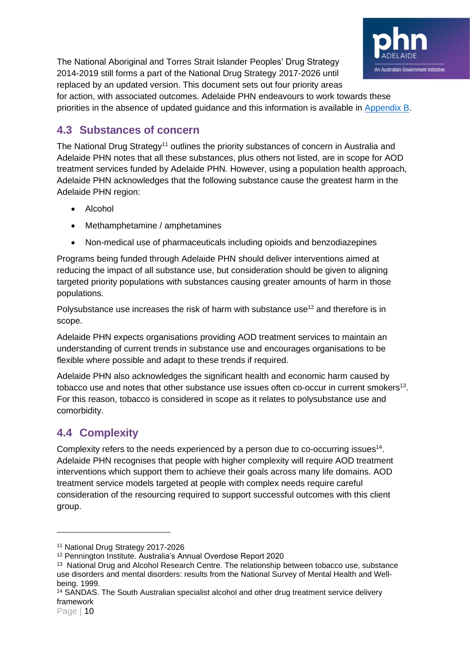The National Aboriginal and Torres Strait Islander Peoples' Drug Strategy 2014-2019 still forms a part of the National Drug Strategy 2017-2026 until replaced by an updated version. This document sets out four priority areas for action, with associated outcomes. Adelaide PHN endeavours to work towards these



priorities in the absence of updated guidance and this information is available in Appendix B.

# <span id="page-9-0"></span>**4.3 Substances of concern**

The National Drug Strategy<sup>11</sup> outlines the priority substances of concern in Australia and Adelaide PHN notes that all these substances, plus others not listed, are in scope for AOD treatment services funded by Adelaide PHN. However, using a population health approach, Adelaide PHN acknowledges that the following substance cause the greatest harm in the Adelaide PHN region:

- Alcohol
- Methamphetamine / amphetamines
- Non-medical use of pharmaceuticals including opioids and benzodiazepines

Programs being funded through Adelaide PHN should deliver interventions aimed at reducing the impact of all substance use, but consideration should be given to aligning targeted priority populations with substances causing greater amounts of harm in those populations.

Polysubstance use increases the risk of harm with substance use<sup>12</sup> and therefore is in scope.

Adelaide PHN expects organisations providing AOD treatment services to maintain an understanding of current trends in substance use and encourages organisations to be flexible where possible and adapt to these trends if required.

Adelaide PHN also acknowledges the significant health and economic harm caused by tobacco use and notes that other substance use issues often co-occur in current smokers<sup>13</sup>. For this reason, tobacco is considered in scope as it relates to polysubstance use and comorbidity.

# <span id="page-9-1"></span>**4.4 Complexity**

Complexity refers to the needs experienced by a person due to co-occurring issues<sup>14</sup>. Adelaide PHN recognises that people with higher complexity will require AOD treatment interventions which support them to achieve their goals across many life domains. AOD treatment service models targeted at people with complex needs require careful consideration of the resourcing required to support successful outcomes with this client group.

<sup>11</sup> National Drug Strategy 2017-2026

<sup>12</sup> Pennington Institute. Australia's Annual Overdose Report 2020

<sup>&</sup>lt;sup>13</sup> National Drug and Alcohol Research Centre. The relationship between tobacco use, substance use disorders and mental disorders: results from the National Survey of Mental Health and Wellbeing. 1999.

<sup>14</sup> SANDAS. The South Australian specialist alcohol and other drug treatment service delivery framework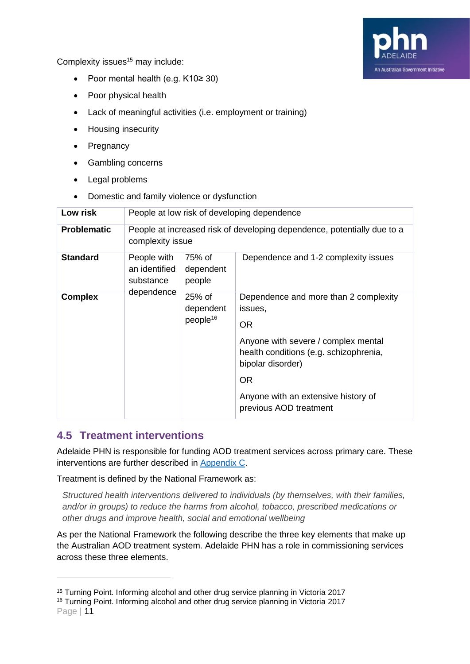Complexity issues<sup>15</sup> may include:



- Poor mental health (e.g. K10≥ 30)
- Poor physical health
- Lack of meaningful activities (i.e. employment or training)
- Housing insecurity
- Pregnancy
- Gambling concerns
- Legal problems
- Domestic and family violence or dysfunction

| Low risk           | People at low risk of developing dependence                                                 |                                               |                                                                                                                                                                                                                                       |  |
|--------------------|---------------------------------------------------------------------------------------------|-----------------------------------------------|---------------------------------------------------------------------------------------------------------------------------------------------------------------------------------------------------------------------------------------|--|
| <b>Problematic</b> | People at increased risk of developing dependence, potentially due to a<br>complexity issue |                                               |                                                                                                                                                                                                                                       |  |
| <b>Standard</b>    | People with<br>an identified<br>substance                                                   | 75% of<br>dependent<br>people                 | Dependence and 1-2 complexity issues                                                                                                                                                                                                  |  |
| <b>Complex</b>     | dependence                                                                                  | $25%$ of<br>dependent<br>people <sup>16</sup> | Dependence and more than 2 complexity<br>issues,<br>OR.<br>Anyone with severe / complex mental<br>health conditions (e.g. schizophrenia,<br>bipolar disorder)<br>OR.<br>Anyone with an extensive history of<br>previous AOD treatment |  |

## <span id="page-10-0"></span>**4.5 Treatment interventions**

Adelaide PHN is responsible for funding AOD treatment services across primary care. These interventions are further described in Appendix C.

Treatment is defined by the National Framework as:

*Structured health interventions delivered to individuals (by themselves, with their families, and/or in groups) to reduce the harms from alcohol, tobacco, prescribed medications or other drugs and improve health, social and emotional wellbeing*

As per the National Framework the following describe the three key elements that make up the Australian AOD treatment system. Adelaide PHN has a role in commissioning services across these three elements.

<sup>15</sup> Turning Point. Informing alcohol and other drug service planning in Victoria 2017

Page | 11 <sup>16</sup> Turning Point. Informing alcohol and other drug service planning in Victoria 2017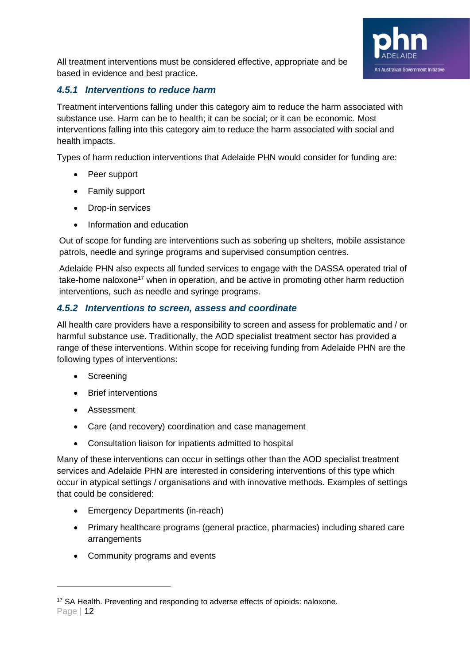

All treatment interventions must be considered effective, appropriate and be based in evidence and best practice.

### <span id="page-11-0"></span>*4.5.1 Interventions to reduce harm*

Treatment interventions falling under this category aim to reduce the harm associated with substance use. Harm can be to health; it can be social; or it can be economic. Most interventions falling into this category aim to reduce the harm associated with social and health impacts.

Types of harm reduction interventions that Adelaide PHN would consider for funding are:

- Peer support
- Family support
- Drop-in services
- Information and education

Out of scope for funding are interventions such as sobering up shelters, mobile assistance patrols, needle and syringe programs and supervised consumption centres.

Adelaide PHN also expects all funded services to engage with the DASSA operated trial of take-home naloxone<sup>17</sup> when in operation, and be active in promoting other harm reduction interventions, such as needle and syringe programs.

### <span id="page-11-1"></span>*4.5.2 Interventions to screen, assess and coordinate*

All health care providers have a responsibility to screen and assess for problematic and / or harmful substance use. Traditionally, the AOD specialist treatment sector has provided a range of these interventions. Within scope for receiving funding from Adelaide PHN are the following types of interventions:

- Screening
- Brief interventions
- Assessment
- Care (and recovery) coordination and case management
- Consultation liaison for inpatients admitted to hospital

Many of these interventions can occur in settings other than the AOD specialist treatment services and Adelaide PHN are interested in considering interventions of this type which occur in atypical settings / organisations and with innovative methods. Examples of settings that could be considered:

- Emergency Departments (in-reach)
- Primary healthcare programs (general practice, pharmacies) including shared care arrangements
- Community programs and events

Page | 12 <sup>17</sup> SA Health. Preventing and responding to adverse effects of opioids: naloxone.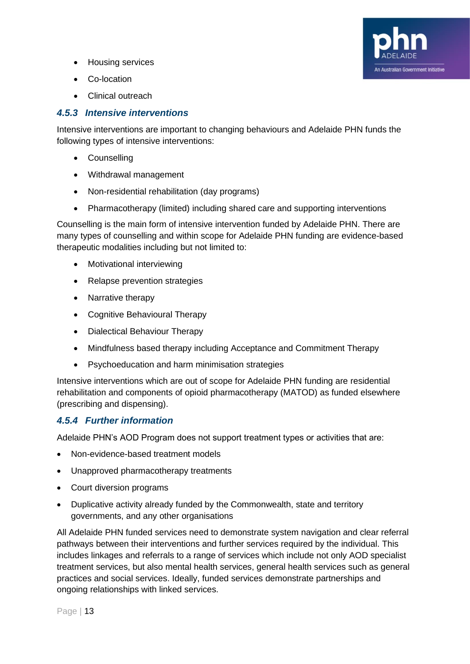- Housing services
- Co-location
- Clinical outreach

### <span id="page-12-0"></span>*4.5.3 Intensive interventions*

Intensive interventions are important to changing behaviours and Adelaide PHN funds the following types of intensive interventions:

An Australian Government Initiative

- Counselling
- Withdrawal management
- Non-residential rehabilitation (day programs)
- Pharmacotherapy (limited) including shared care and supporting interventions

Counselling is the main form of intensive intervention funded by Adelaide PHN. There are many types of counselling and within scope for Adelaide PHN funding are evidence-based therapeutic modalities including but not limited to:

- Motivational interviewing
- Relapse prevention strategies
- Narrative therapy
- Cognitive Behavioural Therapy
- Dialectical Behaviour Therapy
- Mindfulness based therapy including Acceptance and Commitment Therapy
- Psychoeducation and harm minimisation strategies

Intensive interventions which are out of scope for Adelaide PHN funding are residential rehabilitation and components of opioid pharmacotherapy (MATOD) as funded elsewhere (prescribing and dispensing).

### <span id="page-12-1"></span>*4.5.4 Further information*

Adelaide PHN's AOD Program does not support treatment types or activities that are:

- Non-evidence-based treatment models
- Unapproved pharmacotherapy treatments
- Court diversion programs
- Duplicative activity already funded by the Commonwealth, state and territory governments, and any other organisations

All Adelaide PHN funded services need to demonstrate system navigation and clear referral pathways between their interventions and further services required by the individual. This includes linkages and referrals to a range of services which include not only AOD specialist treatment services, but also mental health services, general health services such as general practices and social services. Ideally, funded services demonstrate partnerships and ongoing relationships with linked services.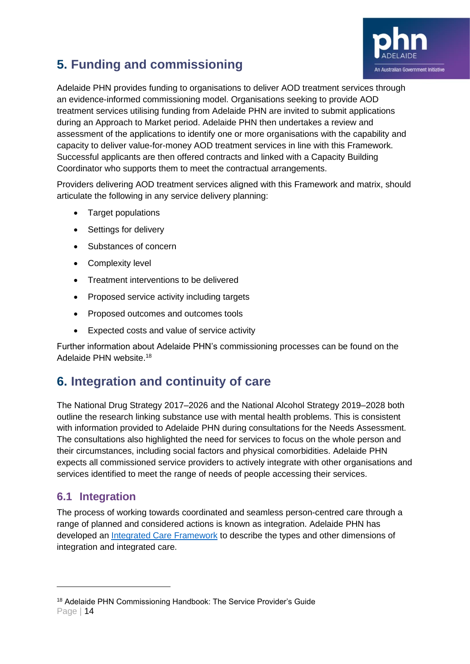

# <span id="page-13-0"></span>**5. Funding and commissioning**

Adelaide PHN provides funding to organisations to deliver AOD treatment services through an evidence-informed commissioning model. Organisations seeking to provide AOD treatment services utilising funding from Adelaide PHN are invited to submit applications during an Approach to Market period. Adelaide PHN then undertakes a review and assessment of the applications to identify one or more organisations with the capability and capacity to deliver value-for-money AOD treatment services in line with this Framework. Successful applicants are then offered contracts and linked with a Capacity Building Coordinator who supports them to meet the contractual arrangements.

Providers delivering AOD treatment services aligned with this Framework and matrix, should articulate the following in any service delivery planning:

- Target populations
- Settings for delivery
- Substances of concern
- Complexity level
- Treatment interventions to be delivered
- Proposed service activity including targets
- Proposed outcomes and outcomes tools
- Expected costs and value of service activity

Further information about Adelaide PHN's commissioning processes can be found on the Adelaide PHN website.<sup>18</sup>

# <span id="page-13-1"></span>**6. Integration and continuity of care**

The National Drug Strategy 2017–2026 and the National Alcohol Strategy 2019–2028 both outline the research linking substance use with mental health problems. This is consistent with information provided to Adelaide PHN during consultations for the Needs Assessment. The consultations also highlighted the need for services to focus on the whole person and their circumstances, including social factors and physical comorbidities. Adelaide PHN expects all commissioned service providers to actively integrate with other organisations and services identified to meet the range of needs of people accessing their services.

# <span id="page-13-2"></span>**6.1 Integration**

The process of working towards coordinated and seamless person-centred care through a range of planned and considered actions is known as integration. Adelaide PHN has developed an [Integrated Care Framework](https://adelaidephn.com.au/resources-2/Framework_Integrated_Care_V1_Oct_2019_Final_Web.pdf) to describe the types and other dimensions of integration and integrated care.

Page | 14 <sup>18</sup> Adelaide PHN Commissioning Handbook: The Service Provider's Guide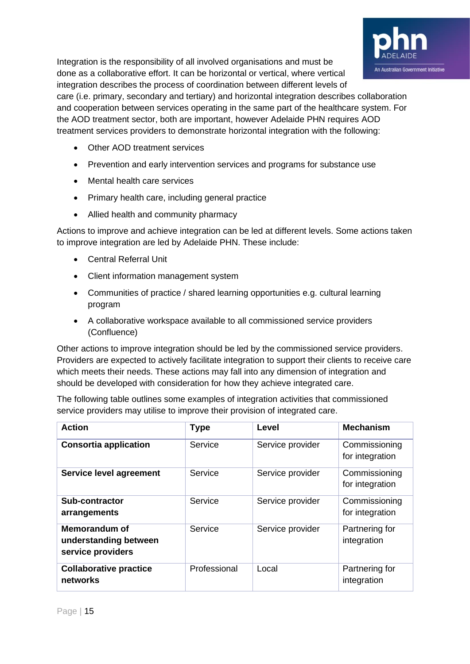Integration is the responsibility of all involved organisations and must be done as a collaborative effort. It can be horizontal or vertical, where vertical integration describes the process of coordination between different levels of

care (i.e. primary, secondary and tertiary) and horizontal integration describes collaboration and cooperation between services operating in the same part of the healthcare system. For the AOD treatment sector, both are important, however Adelaide PHN requires AOD treatment services providers to demonstrate horizontal integration with the following:

An Australian Government Initiative

- Other AOD treatment services
- Prevention and early intervention services and programs for substance use
- Mental health care services
- Primary health care, including general practice
- Allied health and community pharmacy

Actions to improve and achieve integration can be led at different levels. Some actions taken to improve integration are led by Adelaide PHN. These include:

- Central Referral Unit
- Client information management system
- Communities of practice / shared learning opportunities e.g. cultural learning program
- A collaborative workspace available to all commissioned service providers (Confluence)

Other actions to improve integration should be led by the commissioned service providers. Providers are expected to actively facilitate integration to support their clients to receive care which meets their needs. These actions may fall into any dimension of integration and should be developed with consideration for how they achieve integrated care.

The following table outlines some examples of integration activities that commissioned service providers may utilise to improve their provision of integrated care.

| <b>Action</b>                                                      | <b>Type</b>  | Level            | <b>Mechanism</b>                 |
|--------------------------------------------------------------------|--------------|------------------|----------------------------------|
| <b>Consortia application</b>                                       | Service      | Service provider | Commissioning<br>for integration |
| Service level agreement                                            | Service      | Service provider | Commissioning<br>for integration |
| <b>Sub-contractor</b><br>arrangements                              | Service      | Service provider | Commissioning<br>for integration |
| <b>Memorandum of</b><br>understanding between<br>service providers | Service      | Service provider | Partnering for<br>integration    |
| <b>Collaborative practice</b><br>networks                          | Professional | Local            | Partnering for<br>integration    |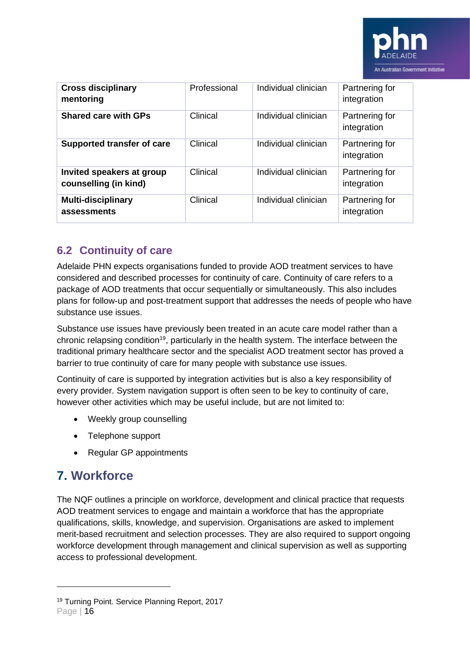

| <b>Cross disciplinary</b><br>mentoring             | Professional | Individual clinician | Partnering for<br>integration |
|----------------------------------------------------|--------------|----------------------|-------------------------------|
| <b>Shared care with GPs</b>                        | Clinical     | Individual clinician | Partnering for<br>integration |
| <b>Supported transfer of care</b>                  | Clinical     | Individual clinician | Partnering for<br>integration |
| Invited speakers at group<br>counselling (in kind) | Clinical     | Individual clinician | Partnering for<br>integration |
| <b>Multi-disciplinary</b><br>assessments           | Clinical     | Individual clinician | Partnering for<br>integration |

# <span id="page-15-0"></span>**6.2 Continuity of care**

Adelaide PHN expects organisations funded to provide AOD treatment services to have considered and described processes for continuity of care. Continuity of care refers to a package of AOD treatments that occur sequentially or simultaneously. This also includes plans for follow-up and post-treatment support that addresses the needs of people who have substance use issues.

Substance use issues have previously been treated in an acute care model rather than a chronic relapsing condition<sup>19</sup>, particularly in the health system. The interface between the traditional primary healthcare sector and the specialist AOD treatment sector has proved a barrier to true continuity of care for many people with substance use issues.

Continuity of care is supported by integration activities but is also a key responsibility of every provider. System navigation support is often seen to be key to continuity of care, however other activities which may be useful include, but are not limited to:

- Weekly group counselling
- Telephone support
- Regular GP appointments

# <span id="page-15-1"></span>**7. Workforce**

The NQF outlines a principle on workforce, development and clinical practice that requests AOD treatment services to engage and maintain a workforce that has the appropriate qualifications, skills, knowledge, and supervision. Organisations are asked to implement merit-based recruitment and selection processes. They are also required to support ongoing workforce development through management and clinical supervision as well as supporting access to professional development.

<sup>19</sup> Turning Point. Service Planning Report, 2017

Page | 16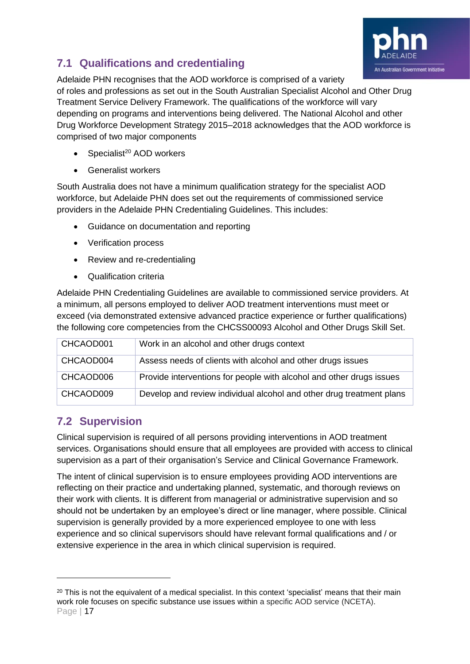

# <span id="page-16-0"></span>**7.1 Qualifications and credentialing**

Adelaide PHN recognises that the AOD workforce is comprised of a variety of roles and professions as set out in the South Australian Specialist Alcohol and Other Drug Treatment Service Delivery Framework. The qualifications of the workforce will vary depending on programs and interventions being delivered. The National Alcohol and other Drug Workforce Development Strategy 2015–2018 acknowledges that the AOD workforce is comprised of two major components

- Specialist<sup>20</sup> AOD workers
- Generalist workers

South Australia does not have a minimum qualification strategy for the specialist AOD workforce, but Adelaide PHN does set out the requirements of commissioned service providers in the Adelaide PHN Credentialing Guidelines. This includes:

- Guidance on documentation and reporting
- Verification process
- Review and re-credentialing
- Qualification criteria

Adelaide PHN Credentialing Guidelines are available to commissioned service providers. At a minimum, all persons employed to deliver AOD treatment interventions must meet or exceed (via demonstrated extensive advanced practice experience or further qualifications) the following core competencies from the CHCSS00093 Alcohol and Other Drugs Skill Set.

| CHCAOD001 | Work in an alcohol and other drugs context                           |
|-----------|----------------------------------------------------------------------|
| CHCAOD004 | Assess needs of clients with alcohol and other drugs issues          |
| CHCAOD006 | Provide interventions for people with alcohol and other drugs issues |
| CHCAOD009 | Develop and review individual alcohol and other drug treatment plans |

# <span id="page-16-1"></span>**7.2 Supervision**

Clinical supervision is required of all persons providing interventions in AOD treatment services. Organisations should ensure that all employees are provided with access to clinical supervision as a part of their organisation's Service and Clinical Governance Framework.

The intent of clinical supervision is to ensure employees providing AOD interventions are reflecting on their practice and undertaking planned, systematic, and thorough reviews on their work with clients. It is different from managerial or administrative supervision and so should not be undertaken by an employee's direct or line manager, where possible. Clinical supervision is generally provided by a more experienced employee to one with less experience and so clinical supervisors should have relevant formal qualifications and / or extensive experience in the area in which clinical supervision is required.

Page | 17 <sup>20</sup> This is not the equivalent of a medical specialist. In this context 'specialist' means that their main work role focuses on specific substance use issues within a specific AOD service (NCETA).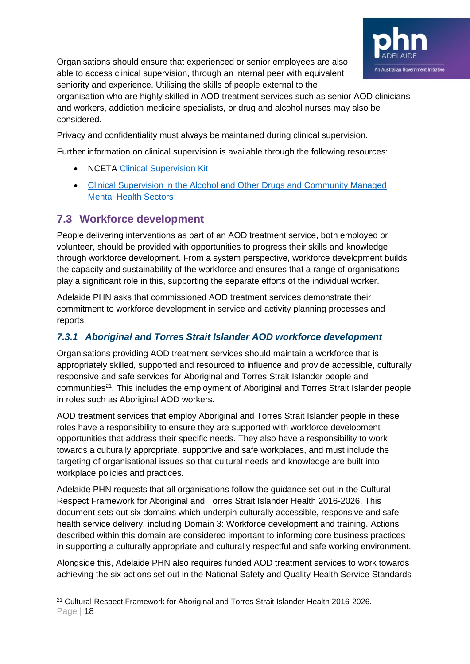

Organisations should ensure that experienced or senior employees are also able to access clinical supervision, through an internal peer with equivalent seniority and experience. Utilising the skills of people external to the

organisation who are highly skilled in AOD treatment services such as senior AOD clinicians and workers, addiction medicine specialists, or drug and alcohol nurses may also be considered.

Privacy and confidentiality must always be maintained during clinical supervision.

Further information on clinical supervision is available through the following resources:

- NCETA [Clinical Supervision Kit](http://nceta.flinders.edu.au/workforce/publications_and_resources/nceta-workforce-development-resources/csk/)
- [Clinical Supervision in the Alcohol and Other Drugs and Community](http://www.clinicalsupervisionguidelines.com.au/) Managed [Mental Health Sectors](http://www.clinicalsupervisionguidelines.com.au/)

# <span id="page-17-0"></span>**7.3 Workforce development**

People delivering interventions as part of an AOD treatment service, both employed or volunteer, should be provided with opportunities to progress their skills and knowledge through workforce development. From a system perspective, workforce development builds the capacity and sustainability of the workforce and ensures that a range of organisations play a significant role in this, supporting the separate efforts of the individual worker.

Adelaide PHN asks that commissioned AOD treatment services demonstrate their commitment to workforce development in service and activity planning processes and reports.

## <span id="page-17-1"></span>*7.3.1 Aboriginal and Torres Strait Islander AOD workforce development*

Organisations providing AOD treatment services should maintain a workforce that is appropriately skilled, supported and resourced to influence and provide accessible, culturally responsive and safe services for Aboriginal and Torres Strait Islander people and communities<sup>21</sup>. This includes the employment of Aboriginal and Torres Strait Islander people in roles such as Aboriginal AOD workers.

AOD treatment services that employ Aboriginal and Torres Strait Islander people in these roles have a responsibility to ensure they are supported with workforce development opportunities that address their specific needs. They also have a responsibility to work towards a culturally appropriate, supportive and safe workplaces, and must include the targeting of organisational issues so that cultural needs and knowledge are built into workplace policies and practices.

Adelaide PHN requests that all organisations follow the guidance set out in the Cultural Respect Framework for Aboriginal and Torres Strait Islander Health 2016-2026. This document sets out six domains which underpin culturally accessible, responsive and safe health service delivery, including Domain 3: Workforce development and training. Actions described within this domain are considered important to informing core business practices in supporting a culturally appropriate and culturally respectful and safe working environment.

Alongside this, Adelaide PHN also requires funded AOD treatment services to work towards achieving the six actions set out in the National Safety and Quality Health Service Standards

Page | 18 <sup>21</sup> Cultural Respect Framework for Aboriginal and Torres Strait Islander Health 2016-2026.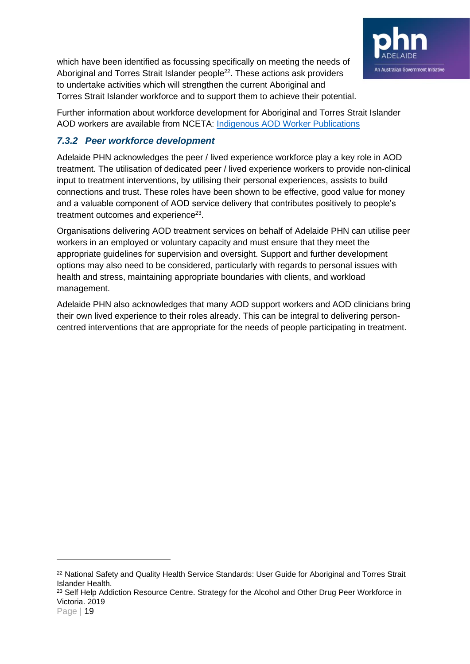

which have been identified as focussing specifically on meeting the needs of Aboriginal and Torres Strait Islander people<sup>22</sup>. These actions ask providers to undertake activities which will strengthen the current Aboriginal and Torres Strait Islander workforce and to support them to achieve their potential.

Further information about workforce development for Aboriginal and Torres Strait Islander AOD workers are available from NCETA: [Indigenous AOD Worker Publications](http://nceta.flinders.edu.au/workforce/indigenous-aod-workforce/indigenous-aod-workers/)

### <span id="page-18-0"></span>*7.3.2 Peer workforce development*

Adelaide PHN acknowledges the peer / lived experience workforce play a key role in AOD treatment. The utilisation of dedicated peer / lived experience workers to provide non-clinical input to treatment interventions, by utilising their personal experiences, assists to build connections and trust. These roles have been shown to be effective, good value for money and a valuable component of AOD service delivery that contributes positively to people's treatment outcomes and experience<sup>23</sup>.

Organisations delivering AOD treatment services on behalf of Adelaide PHN can utilise peer workers in an employed or voluntary capacity and must ensure that they meet the appropriate guidelines for supervision and oversight. Support and further development options may also need to be considered, particularly with regards to personal issues with health and stress, maintaining appropriate boundaries with clients, and workload management.

Adelaide PHN also acknowledges that many AOD support workers and AOD clinicians bring their own lived experience to their roles already. This can be integral to delivering personcentred interventions that are appropriate for the needs of people participating in treatment.

<sup>&</sup>lt;sup>22</sup> National Safety and Quality Health Service Standards: User Guide for Aboriginal and Torres Strait Islander Health.

<sup>&</sup>lt;sup>23</sup> Self Help Addiction Resource Centre. Strategy for the Alcohol and Other Drug Peer Workforce in Victoria. 2019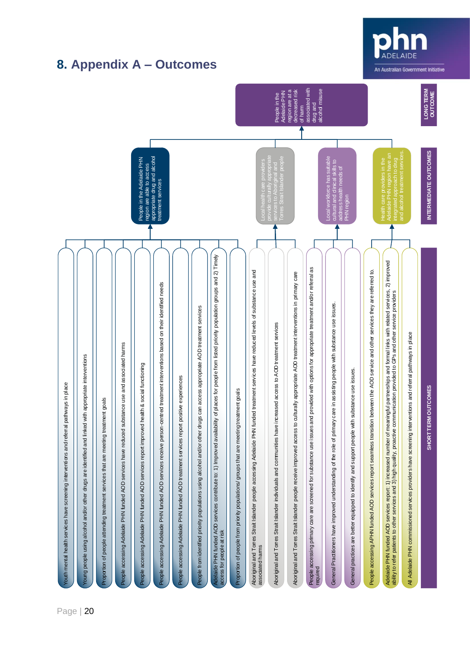<span id="page-19-0"></span>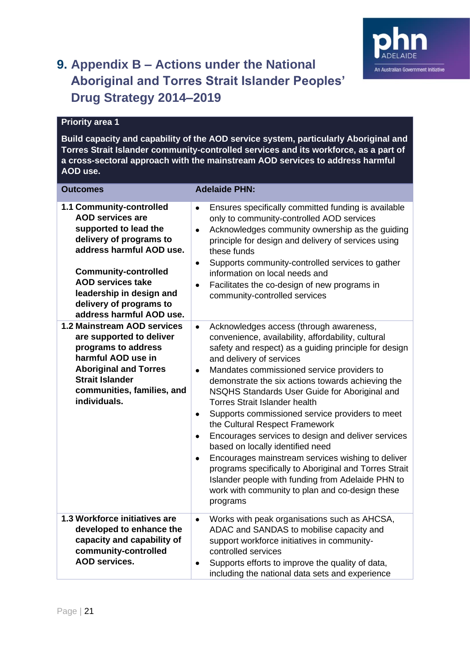

# <span id="page-20-0"></span>**9. Appendix B – Actions under the National Aboriginal and Torres Strait Islander Peoples' Drug Strategy 2014–2019**

#### **Priority area 1**

**Build capacity and capability of the AOD service system, particularly Aboriginal and Torres Strait Islander community-controlled services and its workforce, as a part of a cross-sectoral approach with the mainstream AOD services to address harmful AOD use.**

| <b>Outcomes</b>                                                                                                                                                                                                                                                                   | <b>Adelaide PHN:</b>                                                                                                                                                                                                                                                                                                                                                                                                                                                                                                                                                                                                                                                                                                                                                                                                                                             |
|-----------------------------------------------------------------------------------------------------------------------------------------------------------------------------------------------------------------------------------------------------------------------------------|------------------------------------------------------------------------------------------------------------------------------------------------------------------------------------------------------------------------------------------------------------------------------------------------------------------------------------------------------------------------------------------------------------------------------------------------------------------------------------------------------------------------------------------------------------------------------------------------------------------------------------------------------------------------------------------------------------------------------------------------------------------------------------------------------------------------------------------------------------------|
| 1.1 Community-controlled<br><b>AOD services are</b><br>supported to lead the<br>delivery of programs to<br>address harmful AOD use.<br><b>Community-controlled</b><br><b>AOD services take</b><br>leadership in design and<br>delivery of programs to<br>address harmful AOD use. | Ensures specifically committed funding is available<br>$\bullet$<br>only to community-controlled AOD services<br>Acknowledges community ownership as the guiding<br>$\bullet$<br>principle for design and delivery of services using<br>these funds<br>Supports community-controlled services to gather<br>$\bullet$<br>information on local needs and<br>Facilitates the co-design of new programs in<br>$\bullet$<br>community-controlled services                                                                                                                                                                                                                                                                                                                                                                                                             |
| 1.2 Mainstream AOD services<br>are supported to deliver<br>programs to address<br>harmful AOD use in<br><b>Aboriginal and Torres</b><br><b>Strait Islander</b><br>communities, families, and<br>individuals.                                                                      | Acknowledges access (through awareness,<br>$\bullet$<br>convenience, availability, affordability, cultural<br>safety and respect) as a guiding principle for design<br>and delivery of services<br>Mandates commissioned service providers to<br>$\bullet$<br>demonstrate the six actions towards achieving the<br>NSQHS Standards User Guide for Aboriginal and<br><b>Torres Strait Islander health</b><br>Supports commissioned service providers to meet<br>$\bullet$<br>the Cultural Respect Framework<br>Encourages services to design and deliver services<br>$\bullet$<br>based on locally identified need<br>Encourages mainstream services wishing to deliver<br>$\bullet$<br>programs specifically to Aboriginal and Torres Strait<br>Islander people with funding from Adelaide PHN to<br>work with community to plan and co-design these<br>programs |
| 1.3 Workforce initiatives are<br>developed to enhance the<br>capacity and capability of<br>community-controlled<br><b>AOD services.</b>                                                                                                                                           | Works with peak organisations such as AHCSA,<br>$\bullet$<br>ADAC and SANDAS to mobilise capacity and<br>support workforce initiatives in community-<br>controlled services<br>Supports efforts to improve the quality of data,<br>$\bullet$<br>including the national data sets and experience                                                                                                                                                                                                                                                                                                                                                                                                                                                                                                                                                                  |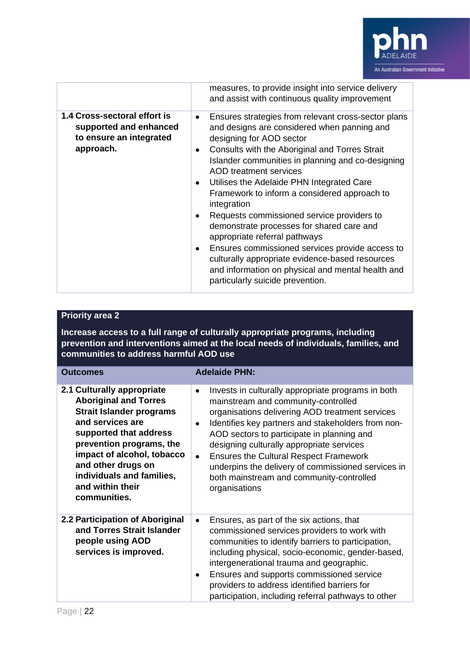

|                                                                                                | measures, to provide insight into service delivery<br>and assist with continuous quality improvement                                                                                                                                                                                                                                                                                                                                                                                                                                                                                                                                                                                                                                            |
|------------------------------------------------------------------------------------------------|-------------------------------------------------------------------------------------------------------------------------------------------------------------------------------------------------------------------------------------------------------------------------------------------------------------------------------------------------------------------------------------------------------------------------------------------------------------------------------------------------------------------------------------------------------------------------------------------------------------------------------------------------------------------------------------------------------------------------------------------------|
| 1.4 Cross-sectoral effort is<br>supported and enhanced<br>to ensure an integrated<br>approach. | Ensures strategies from relevant cross-sector plans<br>$\bullet$<br>and designs are considered when panning and<br>designing for AOD sector<br>Consults with the Aboriginal and Torres Strait<br>٠<br>Islander communities in planning and co-designing<br>AOD treatment services<br>Utilises the Adelaide PHN Integrated Care<br>٠<br>Framework to inform a considered approach to<br>integration<br>Requests commissioned service providers to<br>٠<br>demonstrate processes for shared care and<br>appropriate referral pathways<br>Ensures commissioned services provide access to<br>$\bullet$<br>culturally appropriate evidence-based resources<br>and information on physical and mental health and<br>particularly suicide prevention. |

### **Priority area 2**

**Increase access to a full range of culturally appropriate programs, including prevention and interventions aimed at the local needs of individuals, families, and communities to address harmful AOD use**

| <b>Outcomes</b>                                                                                                                                                                                                                                                                              | <b>Adelaide PHN:</b>                                                                                                                                                                                                                                                                                                                                                                                                                                                                                     |
|----------------------------------------------------------------------------------------------------------------------------------------------------------------------------------------------------------------------------------------------------------------------------------------------|----------------------------------------------------------------------------------------------------------------------------------------------------------------------------------------------------------------------------------------------------------------------------------------------------------------------------------------------------------------------------------------------------------------------------------------------------------------------------------------------------------|
| 2.1 Culturally appropriate<br><b>Aboriginal and Torres</b><br><b>Strait Islander programs</b><br>and services are<br>supported that address<br>prevention programs, the<br>impact of alcohol, tobacco<br>and other drugs on<br>individuals and families,<br>and within their<br>communities. | Invests in culturally appropriate programs in both<br>$\bullet$<br>mainstream and community-controlled<br>organisations delivering AOD treatment services<br>Identifies key partners and stakeholders from non-<br>$\bullet$<br>AOD sectors to participate in planning and<br>designing culturally appropriate services<br><b>Ensures the Cultural Respect Framework</b><br>$\bullet$<br>underpins the delivery of commissioned services in<br>both mainstream and community-controlled<br>organisations |
| 2.2 Participation of Aboriginal<br>and Torres Strait Islander<br>people using AOD<br>services is improved.                                                                                                                                                                                   | Ensures, as part of the six actions, that<br>$\bullet$<br>commissioned services providers to work with<br>communities to identify barriers to participation,<br>including physical, socio-economic, gender-based,<br>intergenerational trauma and geographic.<br>Ensures and supports commissioned service<br>٠<br>providers to address identified barriers for<br>participation, including referral pathways to other                                                                                   |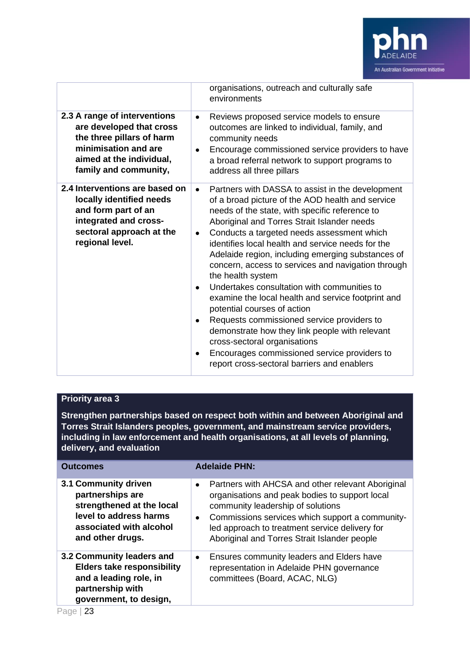

| organisations, outreach and culturally safe<br>environments                                                                                                                                                                                                                                                                                                                                                                                                                                                                                                                                                                                                                                                                                                                                                                                                                                                                                                                                                          |  |
|----------------------------------------------------------------------------------------------------------------------------------------------------------------------------------------------------------------------------------------------------------------------------------------------------------------------------------------------------------------------------------------------------------------------------------------------------------------------------------------------------------------------------------------------------------------------------------------------------------------------------------------------------------------------------------------------------------------------------------------------------------------------------------------------------------------------------------------------------------------------------------------------------------------------------------------------------------------------------------------------------------------------|--|
|                                                                                                                                                                                                                                                                                                                                                                                                                                                                                                                                                                                                                                                                                                                                                                                                                                                                                                                                                                                                                      |  |
| 2.3 A range of interventions<br>Reviews proposed service models to ensure<br>$\bullet$<br>are developed that cross<br>outcomes are linked to individual, family, and<br>the three pillars of harm<br>community needs<br>minimisation and are<br>Encourage commissioned service providers to have<br>$\bullet$<br>aimed at the individual,<br>a broad referral network to support programs to<br>family and community,<br>address all three pillars                                                                                                                                                                                                                                                                                                                                                                                                                                                                                                                                                                   |  |
| 2.4 Interventions are based on<br>Partners with DASSA to assist in the development<br>$\bullet$<br>locally identified needs<br>of a broad picture of the AOD health and service<br>and form part of an<br>needs of the state, with specific reference to<br>integrated and cross-<br>Aboriginal and Torres Strait Islander needs<br>sectoral approach at the<br>Conducts a targeted needs assessment which<br>$\bullet$<br>regional level.<br>identifies local health and service needs for the<br>Adelaide region, including emerging substances of<br>concern, access to services and navigation through<br>the health system<br>Undertakes consultation with communities to<br>$\bullet$<br>examine the local health and service footprint and<br>potential courses of action<br>Requests commissioned service providers to<br>٠<br>demonstrate how they link people with relevant<br>cross-sectoral organisations<br>Encourages commissioned service providers to<br>report cross-sectoral barriers and enablers |  |

### **Priority area 3**

**Strengthen partnerships based on respect both within and between Aboriginal and Torres Strait Islanders peoples, government, and mainstream service providers, including in law enforcement and health organisations, at all levels of planning, delivery, and evaluation**

| <b>Outcomes</b>                                                                                                                                | <b>Adelaide PHN:</b>                                                                                                                                                                                                                                                                                                    |
|------------------------------------------------------------------------------------------------------------------------------------------------|-------------------------------------------------------------------------------------------------------------------------------------------------------------------------------------------------------------------------------------------------------------------------------------------------------------------------|
| 3.1 Community driven<br>partnerships are<br>strengthened at the local<br>level to address harms<br>associated with alcohol<br>and other drugs. | Partners with AHCSA and other relevant Aboriginal<br>$\bullet$<br>organisations and peak bodies to support local<br>community leadership of solutions<br>Commissions services which support a community-<br>$\bullet$<br>led approach to treatment service delivery for<br>Aboriginal and Torres Strait Islander people |
| 3.2 Community leaders and<br><b>Elders take responsibility</b><br>and a leading role, in<br>partnership with<br>government, to design,         | Ensures community leaders and Elders have<br>$\bullet$<br>representation in Adelaide PHN governance<br>committees (Board, ACAC, NLG)                                                                                                                                                                                    |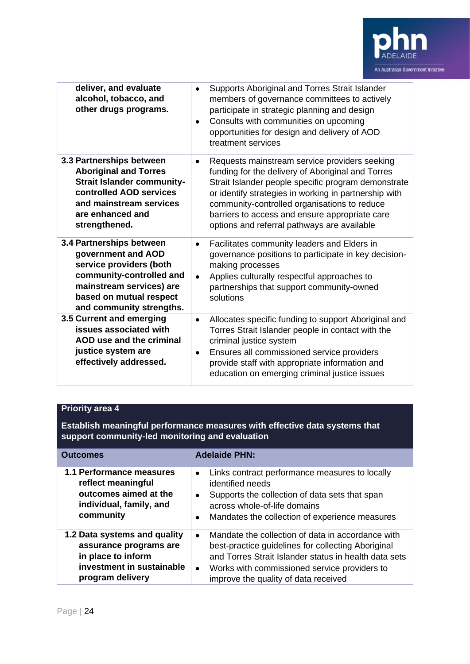

| deliver, and evaluate<br>alcohol, tobacco, and<br>other drugs programs.                                                                                                                  | Supports Aboriginal and Torres Strait Islander<br>٠<br>members of governance committees to actively<br>participate in strategic planning and design<br>Consults with communities on upcoming<br>$\bullet$<br>opportunities for design and delivery of AOD<br>treatment services                                                                                          |
|------------------------------------------------------------------------------------------------------------------------------------------------------------------------------------------|--------------------------------------------------------------------------------------------------------------------------------------------------------------------------------------------------------------------------------------------------------------------------------------------------------------------------------------------------------------------------|
| 3.3 Partnerships between<br><b>Aboriginal and Torres</b><br><b>Strait Islander community-</b><br>controlled AOD services<br>and mainstream services<br>are enhanced and<br>strengthened. | Requests mainstream service providers seeking<br>٠<br>funding for the delivery of Aboriginal and Torres<br>Strait Islander people specific program demonstrate<br>or identify strategies in working in partnership with<br>community-controlled organisations to reduce<br>barriers to access and ensure appropriate care<br>options and referral pathways are available |
| 3.4 Partnerships between<br>government and AOD<br>service providers (both<br>community-controlled and<br>mainstream services) are<br>based on mutual respect<br>and community strengths. | Facilitates community leaders and Elders in<br>$\bullet$<br>governance positions to participate in key decision-<br>making processes<br>Applies culturally respectful approaches to<br>$\bullet$<br>partnerships that support community-owned<br>solutions                                                                                                               |
| 3.5 Current and emerging<br>issues associated with<br>AOD use and the criminal<br>justice system are<br>effectively addressed.                                                           | Allocates specific funding to support Aboriginal and<br>٠<br>Torres Strait Islander people in contact with the<br>criminal justice system<br>Ensures all commissioned service providers<br>$\bullet$<br>provide staff with appropriate information and<br>education on emerging criminal justice issues                                                                  |

## **Priority area 4**

**Establish meaningful performance measures with effective data systems that support community-led monitoring and evaluation**

| <b>Outcomes</b>                                                                                                               | <b>Adelaide PHN:</b>                                                                                                                                                                                                                                                               |
|-------------------------------------------------------------------------------------------------------------------------------|------------------------------------------------------------------------------------------------------------------------------------------------------------------------------------------------------------------------------------------------------------------------------------|
| 1.1 Performance measures<br>reflect meaningful<br>outcomes aimed at the<br>individual, family, and<br>community               | Links contract performance measures to locally<br>$\bullet$<br>identified needs<br>Supports the collection of data sets that span<br>$\bullet$<br>across whole-of-life domains<br>Mandates the collection of experience measures<br>٠                                              |
| 1.2 Data systems and quality<br>assurance programs are<br>in place to inform<br>investment in sustainable<br>program delivery | Mandate the collection of data in accordance with<br>$\bullet$<br>best-practice guidelines for collecting Aboriginal<br>and Torres Strait Islander status in health data sets<br>Works with commissioned service providers to<br>$\bullet$<br>improve the quality of data received |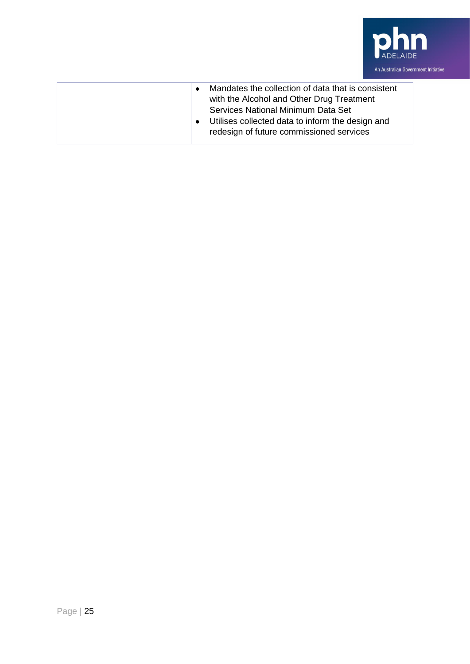

| Mandates the collection of data that is consistent<br>$\bullet$<br>with the Alcohol and Other Drug Treatment<br>Services National Minimum Data Set<br>Utilises collected data to inform the design and<br>$\bullet$<br>redesign of future commissioned services |
|-----------------------------------------------------------------------------------------------------------------------------------------------------------------------------------------------------------------------------------------------------------------|
|                                                                                                                                                                                                                                                                 |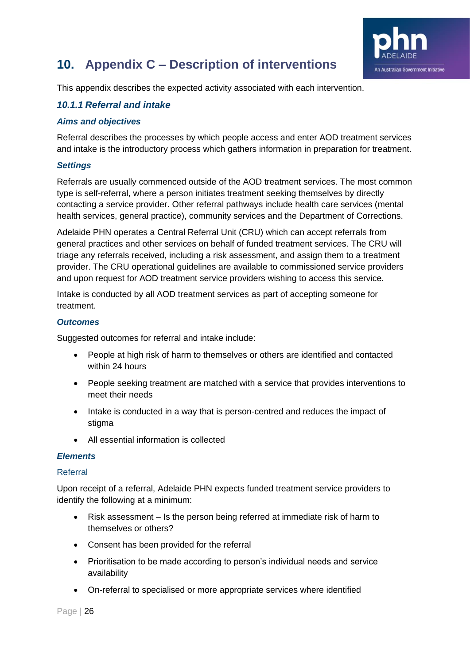

# <span id="page-25-0"></span>**10. Appendix C – Description of interventions**

This appendix describes the expected activity associated with each intervention.

#### <span id="page-25-1"></span>*10.1.1 Referral and intake*

#### *Aims and objectives*

Referral describes the processes by which people access and enter AOD treatment services and intake is the introductory process which gathers information in preparation for treatment.

#### *Settings*

Referrals are usually commenced outside of the AOD treatment services. The most common type is self-referral, where a person initiates treatment seeking themselves by directly contacting a service provider. Other referral pathways include health care services (mental health services, general practice), community services and the Department of Corrections.

Adelaide PHN operates a Central Referral Unit (CRU) which can accept referrals from general practices and other services on behalf of funded treatment services. The CRU will triage any referrals received, including a risk assessment, and assign them to a treatment provider. The CRU operational guidelines are available to commissioned service providers and upon request for AOD treatment service providers wishing to access this service.

Intake is conducted by all AOD treatment services as part of accepting someone for treatment.

#### *Outcomes*

Suggested outcomes for referral and intake include:

- People at high risk of harm to themselves or others are identified and contacted within 24 hours
- People seeking treatment are matched with a service that provides interventions to meet their needs
- Intake is conducted in a way that is person-centred and reduces the impact of stigma
- All essential information is collected

#### *Elements*

#### Referral

Upon receipt of a referral, Adelaide PHN expects funded treatment service providers to identify the following at a minimum:

- Risk assessment Is the person being referred at immediate risk of harm to themselves or others?
- Consent has been provided for the referral
- Prioritisation to be made according to person's individual needs and service availability
- On-referral to specialised or more appropriate services where identified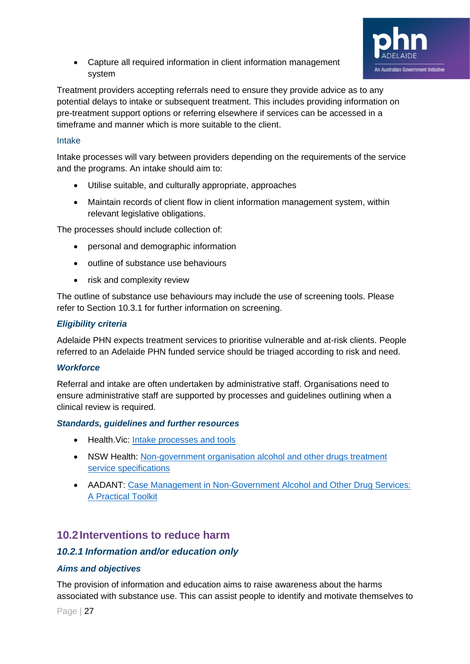

• Capture all required information in client information management system

Treatment providers accepting referrals need to ensure they provide advice as to any potential delays to intake or subsequent treatment. This includes providing information on pre-treatment support options or referring elsewhere if services can be accessed in a timeframe and manner which is more suitable to the client.

#### Intake

Intake processes will vary between providers depending on the requirements of the service and the programs. An intake should aim to:

- Utilise suitable, and culturally appropriate, approaches
- Maintain records of client flow in client information management system, within relevant legislative obligations.

The processes should include collection of:

- personal and demographic information
- outline of substance use behaviours
- risk and complexity review

The outline of substance use behaviours may include the use of screening tools. Please refer to Section 10.3.1 for further information on screening.

#### *Eligibility criteria*

Adelaide PHN expects treatment services to prioritise vulnerable and at-risk clients. People referred to an Adelaide PHN funded service should be triaged according to risk and need.

#### *Workforce*

Referral and intake are often undertaken by administrative staff. Organisations need to ensure administrative staff are supported by processes and guidelines outlining when a clinical review is required.

#### *Standards, guidelines and further resources*

- Health.Vic: [Intake processes and tools](https://www2.health.vic.gov.au/alcohol-and-drugs/aod-treatment-services/pathways-into-aod-treatment/intake-assessment-for-aod-treatment)
- NSW Health: [Non-government organisation alcohol and other drugs treatment](https://www.health.nsw.gov.au/aod/resources/Publications/treatment-service-specifications.pdf)  [service specifications](https://www.health.nsw.gov.au/aod/resources/Publications/treatment-service-specifications.pdf)
- AADANT: Case Management in Non-Government Alcohol and Other Drug Services: [A Practical Toolkit](https://www.aadant.org.au/sites/default/files/uploads/files/aadant-case-managing-in-non-government-aod-services-a-practical-toolkit.pdf)

## <span id="page-26-0"></span>**10.2Interventions to reduce harm**

#### <span id="page-26-1"></span>*10.2.1 Information and/or education only*

#### *Aims and objectives*

The provision of information and education aims to raise awareness about the harms associated with substance use. This can assist people to identify and motivate themselves to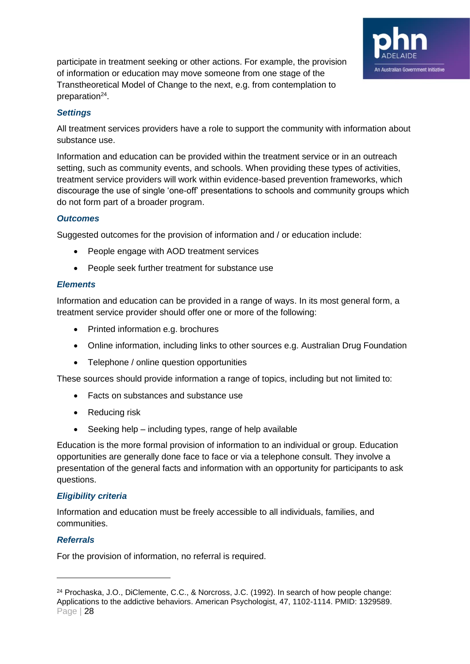

participate in treatment seeking or other actions. For example, the provision of information or education may move someone from one stage of the Transtheoretical Model of Change to the next, e.g. from contemplation to preparation<sup>24</sup>.

#### *Settings*

All treatment services providers have a role to support the community with information about substance use.

Information and education can be provided within the treatment service or in an outreach setting, such as community events, and schools. When providing these types of activities, treatment service providers will work within evidence-based prevention frameworks, which discourage the use of single 'one-off' presentations to schools and community groups which do not form part of a broader program.

#### *Outcomes*

Suggested outcomes for the provision of information and / or education include:

- People engage with AOD treatment services
- People seek further treatment for substance use

#### *Elements*

Information and education can be provided in a range of ways. In its most general form, a treatment service provider should offer one or more of the following:

- Printed information e.g. brochures
- Online information, including links to other sources e.g. Australian Drug Foundation
- Telephone / online question opportunities

These sources should provide information a range of topics, including but not limited to:

- Facts on substances and substance use
- Reducing risk
- Seeking help including types, range of help available

Education is the more formal provision of information to an individual or group. Education opportunities are generally done face to face or via a telephone consult. They involve a presentation of the general facts and information with an opportunity for participants to ask questions.

#### *Eligibility criteria*

Information and education must be freely accessible to all individuals, families, and communities.

#### *Referrals*

For the provision of information, no referral is required.

Page | 28 <sup>24</sup> Prochaska, J.O., DiClemente, C.C., & Norcross, J.C. (1992). In search of how people change: Applications to the addictive behaviors. American Psychologist, 47, 1102-1114. PMID: 1329589.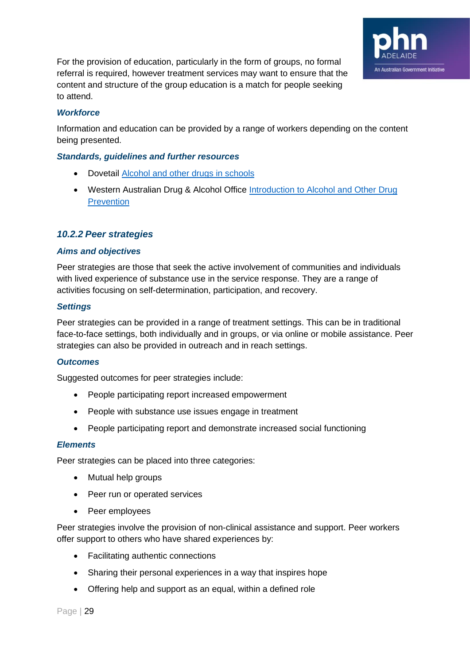

For the provision of education, particularly in the form of groups, no formal referral is required, however treatment services may want to ensure that the content and structure of the group education is a match for people seeking to attend.

#### *Workforce*

Information and education can be provided by a range of workers depending on the content being presented.

#### *Standards, guidelines and further resources*

- Dovetail [Alcohol and other drugs in schools](https://www.dovetail.org.au/resources/alcohol-and-other-drugs-in-schools/)
- Western Australian Drug & Alcohol Office Introduction to Alcohol and Other Drug **[Prevention](https://www.mhc.wa.gov.au/media/2354/introduction-to-alcohol-and-other-drug-prevention-guidelines.pdf)**

#### <span id="page-28-0"></span>*10.2.2 Peer strategies*

#### *Aims and objectives*

Peer strategies are those that seek the active involvement of communities and individuals with lived experience of substance use in the service response. They are a range of activities focusing on self-determination, participation, and recovery.

#### *Settings*

Peer strategies can be provided in a range of treatment settings. This can be in traditional face-to-face settings, both individually and in groups, or via online or mobile assistance. Peer strategies can also be provided in outreach and in reach settings.

#### *Outcomes*

Suggested outcomes for peer strategies include:

- People participating report increased empowerment
- People with substance use issues engage in treatment
- People participating report and demonstrate increased social functioning

#### *Elements*

Peer strategies can be placed into three categories:

- Mutual help groups
- Peer run or operated services
- Peer employees

Peer strategies involve the provision of non-clinical assistance and support. Peer workers offer support to others who have shared experiences by:

- Facilitating authentic connections
- Sharing their personal experiences in a way that inspires hope
- Offering help and support as an equal, within a defined role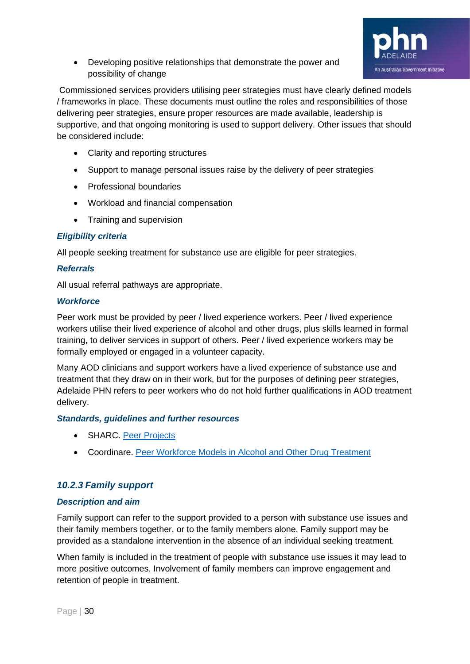

• Developing positive relationships that demonstrate the power and possibility of change

Commissioned services providers utilising peer strategies must have clearly defined models / frameworks in place. These documents must outline the roles and responsibilities of those delivering peer strategies, ensure proper resources are made available, leadership is supportive, and that ongoing monitoring is used to support delivery. Other issues that should be considered include:

- Clarity and reporting structures
- Support to manage personal issues raise by the delivery of peer strategies
- Professional boundaries
- Workload and financial compensation
- Training and supervision

#### *Eligibility criteria*

All people seeking treatment for substance use are eligible for peer strategies.

#### *Referrals*

All usual referral pathways are appropriate.

#### *Workforce*

Peer work must be provided by peer / lived experience workers. Peer / lived experience workers utilise their lived experience of alcohol and other drugs, plus skills learned in formal training, to deliver services in support of others. Peer / lived experience workers may be formally employed or engaged in a volunteer capacity.

Many AOD clinicians and support workers have a lived experience of substance use and treatment that they draw on in their work, but for the purposes of defining peer strategies, Adelaide PHN refers to peer workers who do not hold further qualifications in AOD treatment delivery.

#### *Standards, guidelines and further resources*

- SHARC. [Peer Projects](https://www.sharc.org.au/peer-support/)
- Coordinare. [Peer Workforce Models in Alcohol and Other Drug Treatment](https://www.coordinare.org.au/assets/298704c8ac/Literature-Review_AOD-peer-support-models.pdf)

#### <span id="page-29-0"></span>*10.2.3 Family support*

#### *Description and aim*

Family support can refer to the support provided to a person with substance use issues and their family members together, or to the family members alone. Family support may be provided as a standalone intervention in the absence of an individual seeking treatment.

When family is included in the treatment of people with substance use issues it may lead to more positive outcomes. Involvement of family members can improve engagement and retention of people in treatment.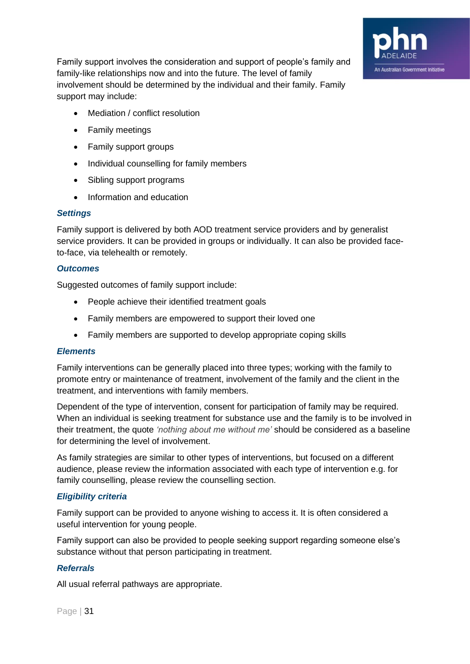

Family support involves the consideration and support of people's family and family-like relationships now and into the future. The level of family involvement should be determined by the individual and their family. Family support may include:

- Mediation / conflict resolution
- Family meetings
- Family support groups
- Individual counselling for family members
- Sibling support programs
- Information and education

#### *Settings*

Family support is delivered by both AOD treatment service providers and by generalist service providers. It can be provided in groups or individually. It can also be provided faceto-face, via telehealth or remotely.

#### *Outcomes*

Suggested outcomes of family support include:

- People achieve their identified treatment goals
- Family members are empowered to support their loved one
- Family members are supported to develop appropriate coping skills

#### *Elements*

Family interventions can be generally placed into three types; working with the family to promote entry or maintenance of treatment, involvement of the family and the client in the treatment, and interventions with family members.

Dependent of the type of intervention, consent for participation of family may be required. When an individual is seeking treatment for substance use and the family is to be involved in their treatment, the quote *'nothing about me without me'* should be considered as a baseline for determining the level of involvement.

As family strategies are similar to other types of interventions, but focused on a different audience, please review the information associated with each type of intervention e.g. for family counselling, please review the counselling section.

#### *Eligibility criteria*

Family support can be provided to anyone wishing to access it. It is often considered a useful intervention for young people.

Family support can also be provided to people seeking support regarding someone else's substance without that person participating in treatment.

#### *Referrals*

All usual referral pathways are appropriate.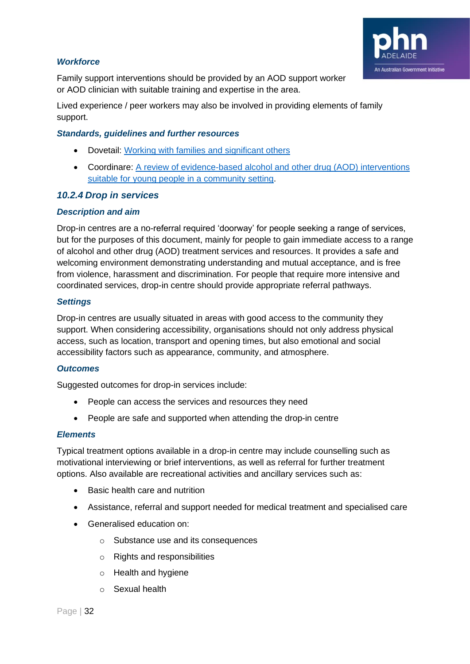

#### *Workforce*

Family support interventions should be provided by an AOD support worker or AOD clinician with suitable training and expertise in the area.

Lived experience / peer workers may also be involved in providing elements of family support.

#### *Standards, guidelines and further resources*

- Dovetail: [Working with families and significant others](https://www.dovetail.org.au/media/1190/dovetail_gpg_5_working-with-families-and-significant-others.pdf)
- Coordinare: [A review of evidence-based alcohol and other drug \(AOD\) interventions](https://www.coordinare.org.au/assets/Main-Site/Uploads/Resources/publications/9fe604c9e5/A-review-of-AOD-interventions-for-young-people-2018.pdf)  [suitable for young people in a community setting.](https://www.coordinare.org.au/assets/Main-Site/Uploads/Resources/publications/9fe604c9e5/A-review-of-AOD-interventions-for-young-people-2018.pdf)

#### <span id="page-31-0"></span>*10.2.4 Drop in services*

#### *Description and aim*

Drop-in centres are a no-referral required 'doorway' for people seeking a range of services, but for the purposes of this document, mainly for people to gain immediate access to a range of alcohol and other drug (AOD) treatment services and resources. It provides a safe and welcoming environment demonstrating understanding and mutual acceptance, and is free from violence, harassment and discrimination. For people that require more intensive and coordinated services, drop-in centre should provide appropriate referral pathways.

#### *Settings*

Drop-in centres are usually situated in areas with good access to the community they support. When considering accessibility, organisations should not only address physical access, such as location, transport and opening times, but also emotional and social accessibility factors such as appearance, community, and atmosphere.

#### *Outcomes*

Suggested outcomes for drop-in services include:

- People can access the services and resources they need
- People are safe and supported when attending the drop-in centre

#### *Elements*

Typical treatment options available in a drop-in centre may include counselling such as motivational interviewing or brief interventions, as well as referral for further treatment options. Also available are recreational activities and ancillary services such as:

- Basic health care and nutrition
- Assistance, referral and support needed for medical treatment and specialised care
- Generalised education on:
	- o Substance use and its consequences
	- o Rights and responsibilities
	- o Health and hygiene
	- o Sexual health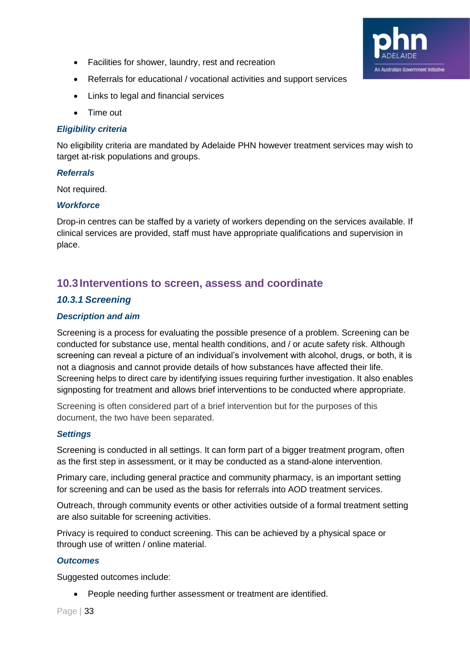- Facilities for shower, laundry, rest and recreation
- Referrals for educational / vocational activities and support services
- Links to legal and financial services
- Time out

#### *Eligibility criteria*

No eligibility criteria are mandated by Adelaide PHN however treatment services may wish to target at-risk populations and groups.

An Australian Government Initiative

#### *Referrals*

Not required.

#### *Workforce*

Drop-in centres can be staffed by a variety of workers depending on the services available. If clinical services are provided, staff must have appropriate qualifications and supervision in place.

# <span id="page-32-0"></span>**10.3Interventions to screen, assess and coordinate**

#### <span id="page-32-1"></span>*10.3.1 Screening*

#### *Description and aim*

Screening is a process for evaluating the possible presence of a problem. Screening can be conducted for substance use, mental health conditions, and / or acute safety risk. Although screening can reveal a picture of an individual's involvement with alcohol, drugs, or both, it is not a diagnosis and cannot provide details of how substances have affected their life. Screening helps to direct care by identifying issues requiring further investigation. It also enables signposting for treatment and allows brief interventions to be conducted where appropriate.

Screening is often considered part of a brief intervention but for the purposes of this document, the two have been separated.

#### *Settings*

Screening is conducted in all settings. It can form part of a bigger treatment program, often as the first step in assessment, or it may be conducted as a stand-alone intervention.

Primary care, including general practice and community pharmacy, is an important setting for screening and can be used as the basis for referrals into AOD treatment services.

Outreach, through community events or other activities outside of a formal treatment setting are also suitable for screening activities.

Privacy is required to conduct screening. This can be achieved by a physical space or through use of written / online material.

#### *Outcomes*

Suggested outcomes include:

• People needing further assessment or treatment are identified.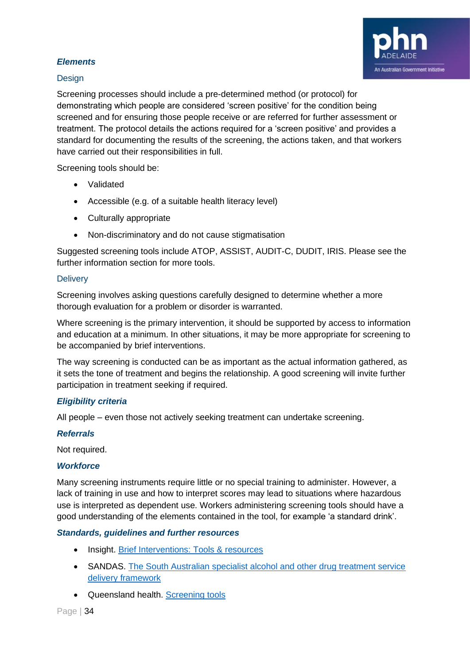

#### *Elements*

#### **Design**

Screening processes should include a pre-determined method (or protocol) for demonstrating which people are considered 'screen positive' for the condition being screened and for ensuring those people receive or are referred for further assessment or treatment. The protocol details the actions required for a 'screen positive' and provides a standard for documenting the results of the screening, the actions taken, and that workers have carried out their responsibilities in full.

Screening tools should be:

- Validated
- Accessible (e.g. of a suitable health literacy level)
- Culturally appropriate
- Non-discriminatory and do not cause stigmatisation

Suggested screening tools include ATOP, ASSIST, AUDIT-C, DUDIT, IRIS. Please see the further information section for more tools.

#### **Delivery**

Screening involves asking questions carefully designed to determine whether a more thorough evaluation for a problem or disorder is warranted.

Where screening is the primary intervention, it should be supported by access to information and education at a minimum. In other situations, it may be more appropriate for screening to be accompanied by brief interventions.

The way screening is conducted can be as important as the actual information gathered, as it sets the tone of treatment and begins the relationship. A good screening will invite further participation in treatment seeking if required.

#### *Eligibility criteria*

All people – even those not actively seeking treatment can undertake screening.

#### *Referrals*

Not required.

#### *Workforce*

Many screening instruments require little or no special training to administer. However, a lack of training in use and how to interpret scores may lead to situations where hazardous use is interpreted as dependent use. Workers administering screening tools should have a good understanding of the elements contained in the tool, for example 'a standard drink'.

#### *Standards, guidelines and further resources*

- Insight. [Brief Interventions: Tools & resources](https://insight.qld.edu.au/toolkits/brief-interventions/detail)
- SANDAS. [The South Australian specialist alcohol and other drug treatment service](http://sandas.org.au/wp-content/uploads/2018/08/8821-The-SA-Specialist-Alcohol-Other-Drug-Treatment-Service-Delivery-Framework-LR.pdf)  [delivery framework](http://sandas.org.au/wp-content/uploads/2018/08/8821-The-SA-Specialist-Alcohol-Other-Drug-Treatment-Service-Delivery-Framework-LR.pdf)
- Queensland health. [Screening tools](https://www.health.qld.gov.au/public-health/topics/atod/screening)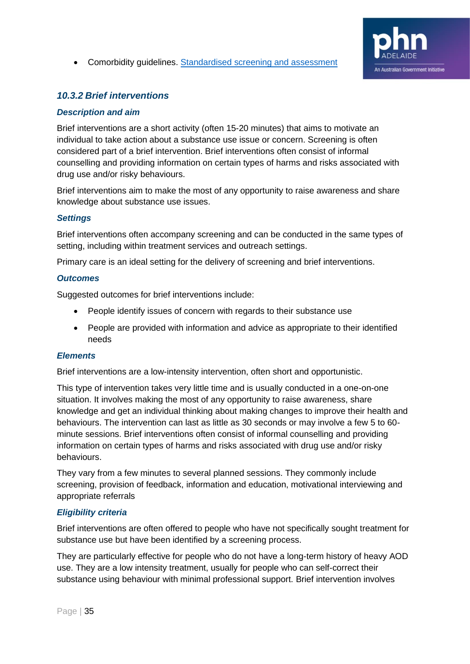#### • Comorbidity guidelines. [Standardised screening and assessment](https://comorbidityguidelines.org.au/b2-identifying-comorbidity/standardised-screening-and-assessment)



#### <span id="page-34-0"></span>*10.3.2 Brief interventions*

#### *Description and aim*

Brief interventions are a short activity (often 15-20 minutes) that aims to motivate an individual to take action about a substance use issue or concern. Screening is often considered part of a brief intervention. Brief interventions often consist of informal counselling and providing information on certain types of harms and risks associated with drug use and/or risky behaviours.

Brief interventions aim to make the most of any opportunity to raise awareness and share knowledge about substance use issues.

#### *Settings*

Brief interventions often accompany screening and can be conducted in the same types of setting, including within treatment services and outreach settings.

Primary care is an ideal setting for the delivery of screening and brief interventions.

#### *Outcomes*

Suggested outcomes for brief interventions include:

- People identify issues of concern with regards to their substance use
- People are provided with information and advice as appropriate to their identified needs

#### *Elements*

Brief interventions are a low-intensity intervention, often short and opportunistic.

This type of intervention takes very little time and is usually conducted in a one-on-one situation. It involves making the most of any opportunity to raise awareness, share knowledge and get an individual thinking about making changes to improve their health and behaviours. The intervention can last as little as 30 seconds or may involve a few 5 to 60 minute sessions. Brief interventions often consist of informal counselling and providing information on certain types of harms and risks associated with drug use and/or risky behaviours.

They vary from a few minutes to several planned sessions. They commonly include screening, provision of feedback, information and education, motivational interviewing and appropriate referrals

#### *Eligibility criteria*

Brief interventions are often offered to people who have not specifically sought treatment for substance use but have been identified by a screening process.

They are particularly effective for people who do not have a long-term history of heavy AOD use. They are a low intensity treatment, usually for people who can self-correct their substance using behaviour with minimal professional support. Brief intervention involves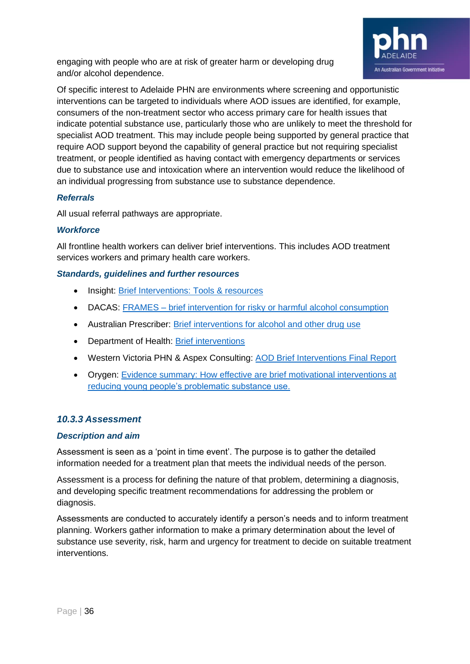

engaging with people who are at risk of greater harm or developing drug and/or alcohol dependence.

Of specific interest to Adelaide PHN are environments where screening and opportunistic interventions can be targeted to individuals where AOD issues are identified, for example, consumers of the non-treatment sector who access primary care for health issues that indicate potential substance use, particularly those who are unlikely to meet the threshold for specialist AOD treatment. This may include people being supported by general practice that require AOD support beyond the capability of general practice but not requiring specialist treatment, or people identified as having contact with emergency departments or services due to substance use and intoxication where an intervention would reduce the likelihood of an individual progressing from substance use to substance dependence.

#### *Referrals*

All usual referral pathways are appropriate.

#### *Workforce*

All frontline health workers can deliver brief interventions. This includes AOD treatment services workers and primary health care workers.

#### *Standards, guidelines and further resources*

- Insight: [Brief Interventions: Tools & resources](https://insight.qld.edu.au/toolkits/brief-interventions/detail)
- DACAS: FRAMES [brief intervention for risky or harmful alcohol consumption](https://www.dacas.org.au/clinical-resources/screening-assessment/frames)
- Australian Prescriber: [Brief interventions for alcohol and other drug use](https://www.nps.org.au/australian-prescriber/articles/brief-interventions-for-alcohol-and-other-drug-use)
- Department of Health: [Brief interventions](https://www1.health.gov.au/internet/publications/publishing.nsf/Content/drugtreat-pubs-front7-wk-toc~drugtreat-pubs-front7-wk-secb~drugtreat-pubs-front7-wk-secb-3~drugtreat-pubs-front7-wk-secb-3-2)
- Western Victoria PHN & Aspex Consulting: [AOD Brief Interventions Final Report](https://westvicphn.com.au/wp-content/uploads/2019/10/AOD_Brief_Interventions_Final_Report_2018.pdf)
- Orygen: [Evidence summary: How effective are brief motivational interventions at](https://orygen.org.au/Training/Resources/Alcohol-and-substance-use/Evidence-summary/Motivational-Interviewing/The-Effectiveness-of-Motivational-Interviewing-for?ext=.)  [reducing young people's problematic substance use.](https://orygen.org.au/Training/Resources/Alcohol-and-substance-use/Evidence-summary/Motivational-Interviewing/The-Effectiveness-of-Motivational-Interviewing-for?ext=.)

#### <span id="page-35-0"></span>*10.3.3 Assessment*

#### *Description and aim*

Assessment is seen as a 'point in time event'. The purpose is to gather the detailed information needed for a treatment plan that meets the individual needs of the person.

Assessment is a process for defining the nature of that problem, determining a diagnosis, and developing specific treatment recommendations for addressing the problem or diagnosis.

Assessments are conducted to accurately identify a person's needs and to inform treatment planning. Workers gather information to make a primary determination about the level of substance use severity, risk, harm and urgency for treatment to decide on suitable treatment interventions.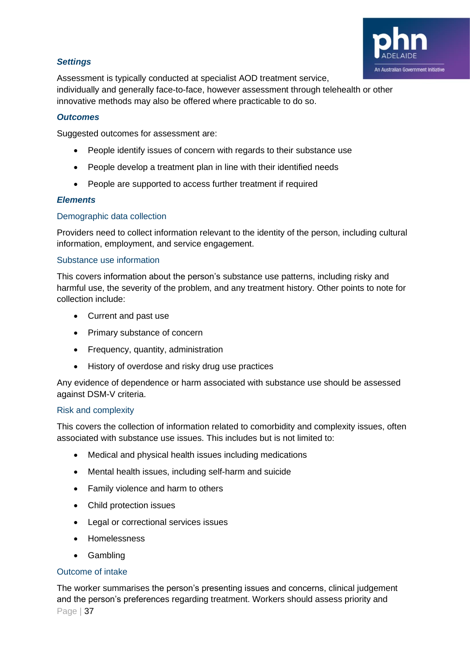

#### *Settings*

Assessment is typically conducted at specialist AOD treatment service, individually and generally face-to-face, however assessment through telehealth or other innovative methods may also be offered where practicable to do so.

#### *Outcomes*

Suggested outcomes for assessment are:

- People identify issues of concern with regards to their substance use
- People develop a treatment plan in line with their identified needs
- People are supported to access further treatment if required

#### *Elements*

#### Demographic data collection

Providers need to collect information relevant to the identity of the person, including cultural information, employment, and service engagement.

#### Substance use information

This covers information about the person's substance use patterns, including risky and harmful use, the severity of the problem, and any treatment history. Other points to note for collection include:

- Current and past use
- Primary substance of concern
- Frequency, quantity, administration
- History of overdose and risky drug use practices

Any evidence of dependence or harm associated with substance use should be assessed against DSM-V criteria.

#### Risk and complexity

This covers the collection of information related to comorbidity and complexity issues, often associated with substance use issues. This includes but is not limited to:

- Medical and physical health issues including medications
- Mental health issues, including self-harm and suicide
- Family violence and harm to others
- Child protection issues
- Legal or correctional services issues
- Homelessness
- Gambling

#### Outcome of intake

Page | 37 The worker summarises the person's presenting issues and concerns, clinical judgement and the person's preferences regarding treatment. Workers should assess priority and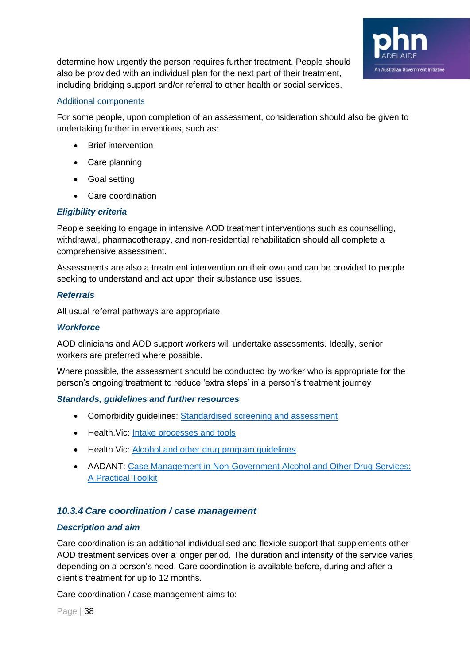

determine how urgently the person requires further treatment. People should also be provided with an individual plan for the next part of their treatment, including bridging support and/or referral to other health or social services.

#### Additional components

For some people, upon completion of an assessment, consideration should also be given to undertaking further interventions, such as:

- Brief intervention
- Care planning
- Goal setting
- Care coordination

#### *Eligibility criteria*

People seeking to engage in intensive AOD treatment interventions such as counselling, withdrawal, pharmacotherapy, and non-residential rehabilitation should all complete a comprehensive assessment.

Assessments are also a treatment intervention on their own and can be provided to people seeking to understand and act upon their substance use issues.

#### *Referrals*

All usual referral pathways are appropriate.

#### *Workforce*

AOD clinicians and AOD support workers will undertake assessments. Ideally, senior workers are preferred where possible.

Where possible, the assessment should be conducted by worker who is appropriate for the person's ongoing treatment to reduce 'extra steps' in a person's treatment journey

#### *Standards, guidelines and further resources*

- Comorbidity guidelines: [Standardised screening and assessment](https://comorbidityguidelines.org.au/b2-identifying-comorbidity/standardised-screening-and-assessment)
- Health.Vic: [Intake processes and tools](https://www2.health.vic.gov.au/alcohol-and-drugs/aod-treatment-services/pathways-into-aod-treatment/intake-assessment-for-aod-treatment)
- Health. Vic: [Alcohol and other drug program guidelines](https://www2.health.vic.gov.au/alcohol-and-drugs/aod-service-standards-guidelines/aod-program-guidelines)
- AADANT: [Case Management in Non-Government Alcohol and Other Drug Services:](https://www.aadant.org.au/sites/default/files/uploads/files/aadant-case-managing-in-non-government-aod-services-a-practical-toolkit.pdf)  [A Practical Toolkit](https://www.aadant.org.au/sites/default/files/uploads/files/aadant-case-managing-in-non-government-aod-services-a-practical-toolkit.pdf)

#### <span id="page-37-0"></span>*10.3.4 Care coordination / case management*

#### *Description and aim*

Care coordination is an additional individualised and flexible support that supplements other AOD treatment services over a longer period. The duration and intensity of the service varies depending on a person's need. Care coordination is available before, during and after a client's treatment for up to 12 months.

Care coordination / case management aims to: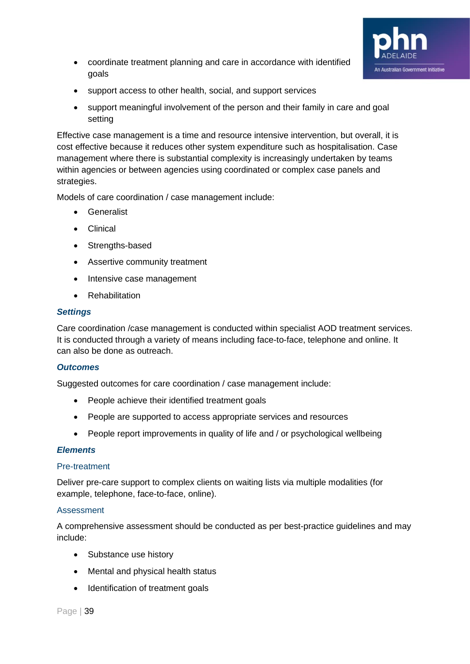

- coordinate treatment planning and care in accordance with identified goals
- support access to other health, social, and support services
- support meaningful involvement of the person and their family in care and goal setting

Effective case management is a time and resource intensive intervention, but overall, it is cost effective because it reduces other system expenditure such as hospitalisation. Case management where there is substantial complexity is increasingly undertaken by teams within agencies or between agencies using coordinated or complex case panels and strategies.

Models of care coordination / case management include:

- Generalist
- Clinical
- Strengths-based
- Assertive community treatment
- Intensive case management
- Rehabilitation

#### *Settings*

Care coordination /case management is conducted within specialist AOD treatment services. It is conducted through a variety of means including face-to-face, telephone and online. It can also be done as outreach.

#### *Outcomes*

Suggested outcomes for care coordination / case management include:

- People achieve their identified treatment goals
- People are supported to access appropriate services and resources
- People report improvements in quality of life and / or psychological wellbeing

#### *Elements*

#### Pre-treatment

Deliver pre-care support to complex clients on waiting lists via multiple modalities (for example, telephone, face-to-face, online).

#### Assessment

A comprehensive assessment should be conducted as per best-practice guidelines and may include:

- Substance use history
- Mental and physical health status
- Identification of treatment goals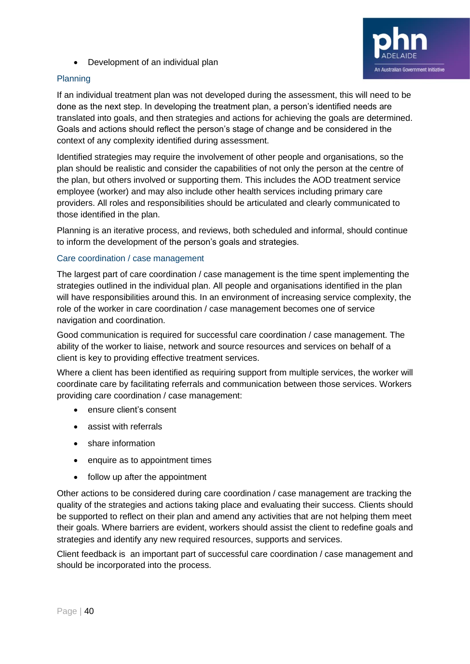• Development of an individual plan





If an individual treatment plan was not developed during the assessment, this will need to be done as the next step. In developing the treatment plan, a person's identified needs are translated into goals, and then strategies and actions for achieving the goals are determined. Goals and actions should reflect the person's stage of change and be considered in the context of any complexity identified during assessment.

Identified strategies may require the involvement of other people and organisations, so the plan should be realistic and consider the capabilities of not only the person at the centre of the plan, but others involved or supporting them. This includes the AOD treatment service employee (worker) and may also include other health services including primary care providers. All roles and responsibilities should be articulated and clearly communicated to those identified in the plan.

Planning is an iterative process, and reviews, both scheduled and informal, should continue to inform the development of the person's goals and strategies.

#### Care coordination / case management

The largest part of care coordination / case management is the time spent implementing the strategies outlined in the individual plan. All people and organisations identified in the plan will have responsibilities around this. In an environment of increasing service complexity, the role of the worker in care coordination / case management becomes one of service navigation and coordination.

Good communication is required for successful care coordination / case management. The ability of the worker to liaise, network and source resources and services on behalf of a client is key to providing effective treatment services.

Where a client has been identified as requiring support from multiple services, the worker will coordinate care by facilitating referrals and communication between those services. Workers providing care coordination / case management:

- ensure client's consent
- assist with referrals
- share information
- enquire as to appointment times
- follow up after the appointment

Other actions to be considered during care coordination / case management are tracking the quality of the strategies and actions taking place and evaluating their success. Clients should be supported to reflect on their plan and amend any activities that are not helping them meet their goals. Where barriers are evident, workers should assist the client to redefine goals and strategies and identify any new required resources, supports and services.

Client feedback is an important part of successful care coordination / case management and should be incorporated into the process.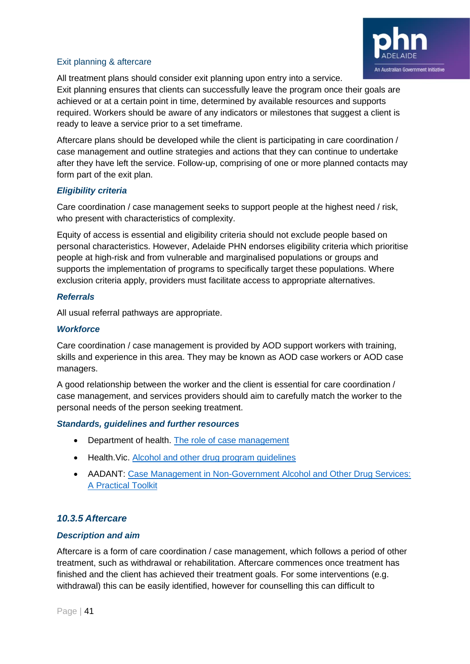

#### Exit planning & aftercare

All treatment plans should consider exit planning upon entry into a service.

Exit planning ensures that clients can successfully leave the program once their goals are achieved or at a certain point in time, determined by available resources and supports required. Workers should be aware of any indicators or milestones that suggest a client is ready to leave a service prior to a set timeframe.

Aftercare plans should be developed while the client is participating in care coordination / case management and outline strategies and actions that they can continue to undertake after they have left the service. Follow-up, comprising of one or more planned contacts may form part of the exit plan.

#### *Eligibility criteria*

Care coordination / case management seeks to support people at the highest need / risk, who present with characteristics of complexity.

Equity of access is essential and eligibility criteria should not exclude people based on personal characteristics. However, Adelaide PHN endorses eligibility criteria which prioritise people at high-risk and from vulnerable and marginalised populations or groups and supports the implementation of programs to specifically target these populations. Where exclusion criteria apply, providers must facilitate access to appropriate alternatives.

#### *Referrals*

All usual referral pathways are appropriate.

#### *Workforce*

Care coordination / case management is provided by AOD support workers with training, skills and experience in this area. They may be known as AOD case workers or AOD case managers.

A good relationship between the worker and the client is essential for care coordination / case management, and services providers should aim to carefully match the worker to the personal needs of the person seeking treatment.

#### *Standards, guidelines and further resources*

- Department of health. [The role of case management](https://www1.health.gov.au/internet/publications/publishing.nsf/Content/mental-pubs-p-mono-toc~mental-pubs-p-mono-bas~mental-pubs-p-mono-bas-acc~mental-pubs-p-mono-bas-acc-cas)
- Health. Vic. [Alcohol and other drug program guidelines](https://www2.health.vic.gov.au/alcohol-and-drugs/aod-service-standards-guidelines/aod-program-guidelines)
- AADANT: [Case Management in Non-Government Alcohol and Other Drug Services:](https://www.aadant.org.au/sites/default/files/uploads/files/aadant-case-managing-in-non-government-aod-services-a-practical-toolkit.pdf)  [A Practical Toolkit](https://www.aadant.org.au/sites/default/files/uploads/files/aadant-case-managing-in-non-government-aod-services-a-practical-toolkit.pdf)

#### <span id="page-40-0"></span>*10.3.5 Aftercare*

#### *Description and aim*

Aftercare is a form of care coordination / case management, which follows a period of other treatment, such as withdrawal or rehabilitation. Aftercare commences once treatment has finished and the client has achieved their treatment goals. For some interventions (e.g. withdrawal) this can be easily identified, however for counselling this can difficult to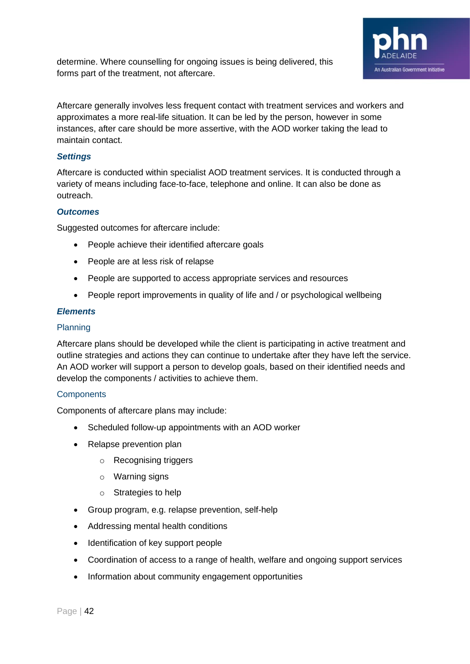

determine. Where counselling for ongoing issues is being delivered, this forms part of the treatment, not aftercare.

Aftercare generally involves less frequent contact with treatment services and workers and approximates a more real-life situation. It can be led by the person, however in some instances, after care should be more assertive, with the AOD worker taking the lead to maintain contact.

#### *Settings*

Aftercare is conducted within specialist AOD treatment services. It is conducted through a variety of means including face-to-face, telephone and online. It can also be done as outreach.

#### *Outcomes*

Suggested outcomes for aftercare include:

- People achieve their identified aftercare goals
- People are at less risk of relapse
- People are supported to access appropriate services and resources
- People report improvements in quality of life and / or psychological wellbeing

#### *Elements*

#### Planning

Aftercare plans should be developed while the client is participating in active treatment and outline strategies and actions they can continue to undertake after they have left the service. An AOD worker will support a person to develop goals, based on their identified needs and develop the components / activities to achieve them.

#### **Components**

Components of aftercare plans may include:

- Scheduled follow-up appointments with an AOD worker
- Relapse prevention plan
	- o Recognising triggers
	- o Warning signs
	- o Strategies to help
- Group program, e.g. relapse prevention, self-help
- Addressing mental health conditions
- Identification of key support people
- Coordination of access to a range of health, welfare and ongoing support services
- Information about community engagement opportunities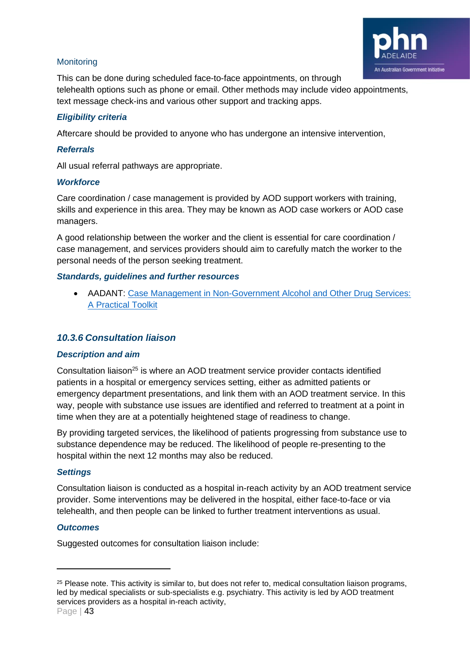

#### **Monitoring**

This can be done during scheduled face-to-face appointments, on through telehealth options such as phone or email. Other methods may include video appointments, text message check-ins and various other support and tracking apps.

#### *Eligibility criteria*

Aftercare should be provided to anyone who has undergone an intensive intervention,

#### *Referrals*

All usual referral pathways are appropriate.

#### *Workforce*

Care coordination / case management is provided by AOD support workers with training, skills and experience in this area. They may be known as AOD case workers or AOD case managers.

A good relationship between the worker and the client is essential for care coordination / case management, and services providers should aim to carefully match the worker to the personal needs of the person seeking treatment.

#### *Standards, guidelines and further resources*

• AADANT: [Case Management in Non-Government Alcohol and Other Drug Services:](https://www.aadant.org.au/sites/default/files/uploads/files/aadant-case-managing-in-non-government-aod-services-a-practical-toolkit.pdf)  [A Practical Toolkit](https://www.aadant.org.au/sites/default/files/uploads/files/aadant-case-managing-in-non-government-aod-services-a-practical-toolkit.pdf)

#### <span id="page-42-0"></span>*10.3.6 Consultation liaison*

#### *Description and aim*

Consultation liaison<sup>25</sup> is where an AOD treatment service provider contacts identified patients in a hospital or emergency services setting, either as admitted patients or emergency department presentations, and link them with an AOD treatment service. In this way, people with substance use issues are identified and referred to treatment at a point in time when they are at a potentially heightened stage of readiness to change.

By providing targeted services, the likelihood of patients progressing from substance use to substance dependence may be reduced. The likelihood of people re-presenting to the hospital within the next 12 months may also be reduced.

#### *Settings*

Consultation liaison is conducted as a hospital in-reach activity by an AOD treatment service provider. Some interventions may be delivered in the hospital, either face-to-face or via telehealth, and then people can be linked to further treatment interventions as usual.

#### *Outcomes*

Suggested outcomes for consultation liaison include:

 $25$  Please note. This activity is similar to, but does not refer to, medical consultation liaison programs, led by medical specialists or sub-specialists e.g. psychiatry. This activity is led by AOD treatment services providers as a hospital in-reach activity,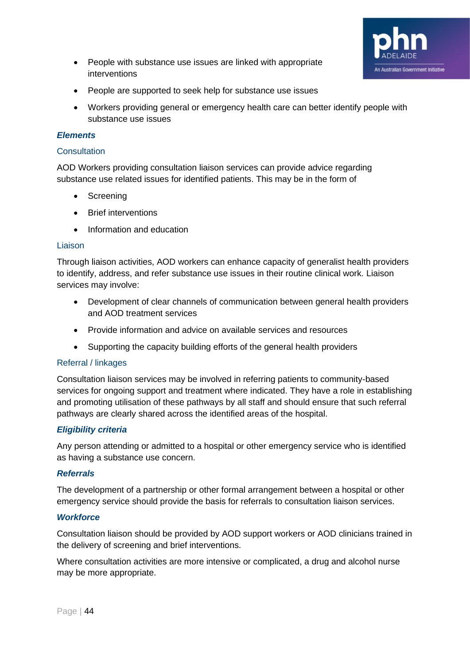

- People with substance use issues are linked with appropriate interventions
- People are supported to seek help for substance use issues
- Workers providing general or emergency health care can better identify people with substance use issues

#### *Elements*

#### **Consultation**

AOD Workers providing consultation liaison services can provide advice regarding substance use related issues for identified patients. This may be in the form of

- Screening
- Brief interventions
- Information and education

#### Liaison

Through liaison activities, AOD workers can enhance capacity of generalist health providers to identify, address, and refer substance use issues in their routine clinical work. Liaison services may involve:

- Development of clear channels of communication between general health providers and AOD treatment services
- Provide information and advice on available services and resources
- Supporting the capacity building efforts of the general health providers

#### Referral / linkages

Consultation liaison services may be involved in referring patients to community-based services for ongoing support and treatment where indicated. They have a role in establishing and promoting utilisation of these pathways by all staff and should ensure that such referral pathways are clearly shared across the identified areas of the hospital.

#### *Eligibility criteria*

Any person attending or admitted to a hospital or other emergency service who is identified as having a substance use concern.

#### *Referrals*

The development of a partnership or other formal arrangement between a hospital or other emergency service should provide the basis for referrals to consultation liaison services.

#### *Workforce*

Consultation liaison should be provided by AOD support workers or AOD clinicians trained in the delivery of screening and brief interventions.

Where consultation activities are more intensive or complicated, a drug and alcohol nurse may be more appropriate.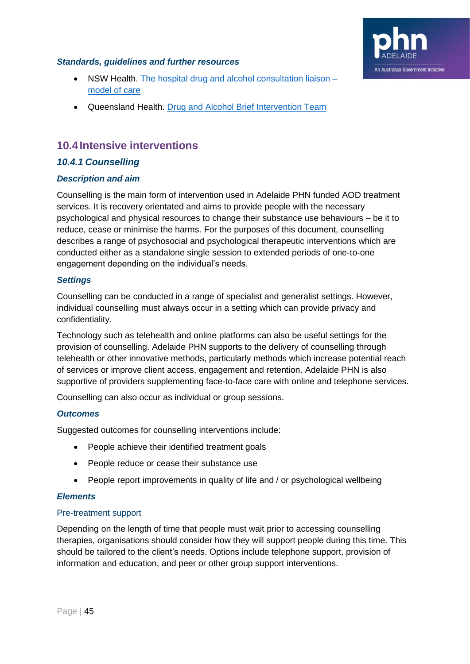

#### *Standards, guidelines and further resources*

- NSW Health. [The hospital drug and alcohol consultation liaison –](https://www.health.nsw.gov.au/aod/professionals/Publications/hosp-DA-consult-moc.pdf) [model of care](https://www.health.nsw.gov.au/aod/professionals/Publications/hosp-DA-consult-moc.pdf)
- Queensland Health. [Drug and Alcohol Brief Intervention Team](https://www.health.qld.gov.au/cairns_hinterland/html/dabit)

# <span id="page-44-0"></span>**10.4Intensive interventions**

#### <span id="page-44-1"></span>*10.4.1 Counselling*

#### *Description and aim*

Counselling is the main form of intervention used in Adelaide PHN funded AOD treatment services. It is recovery orientated and aims to provide people with the necessary psychological and physical resources to change their substance use behaviours – be it to reduce, cease or minimise the harms. For the purposes of this document, counselling describes a range of psychosocial and psychological therapeutic interventions which are conducted either as a standalone single session to extended periods of one-to-one engagement depending on the individual's needs.

#### *Settings*

Counselling can be conducted in a range of specialist and generalist settings. However, individual counselling must always occur in a setting which can provide privacy and confidentiality.

Technology such as telehealth and online platforms can also be useful settings for the provision of counselling. Adelaide PHN supports to the delivery of counselling through telehealth or other innovative methods, particularly methods which increase potential reach of services or improve client access, engagement and retention. Adelaide PHN is also supportive of providers supplementing face-to-face care with online and telephone services.

Counselling can also occur as individual or group sessions.

#### *Outcomes*

Suggested outcomes for counselling interventions include:

- People achieve their identified treatment goals
- People reduce or cease their substance use
- People report improvements in quality of life and / or psychological wellbeing

#### *Elements*

#### Pre-treatment support

Depending on the length of time that people must wait prior to accessing counselling therapies, organisations should consider how they will support people during this time. This should be tailored to the client's needs. Options include telephone support, provision of information and education, and peer or other group support interventions.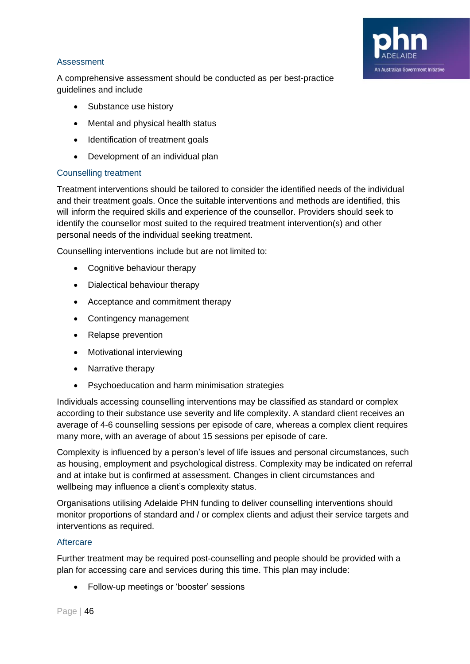

#### Assessment

A comprehensive assessment should be conducted as per best-practice guidelines and include

- Substance use history
- Mental and physical health status
- Identification of treatment goals
- Development of an individual plan

#### Counselling treatment

Treatment interventions should be tailored to consider the identified needs of the individual and their treatment goals. Once the suitable interventions and methods are identified, this will inform the required skills and experience of the counsellor. Providers should seek to identify the counsellor most suited to the required treatment intervention(s) and other personal needs of the individual seeking treatment.

Counselling interventions include but are not limited to:

- Cognitive behaviour therapy
- Dialectical behaviour therapy
- Acceptance and commitment therapy
- Contingency management
- Relapse prevention
- Motivational interviewing
- Narrative therapy
- Psychoeducation and harm minimisation strategies

Individuals accessing counselling interventions may be classified as standard or complex according to their substance use severity and life complexity. A standard client receives an average of 4-6 counselling sessions per episode of care, whereas a complex client requires many more, with an average of about 15 sessions per episode of care.

Complexity is influenced by a person's level of life issues and personal circumstances, such as housing, employment and psychological distress. Complexity may be indicated on referral and at intake but is confirmed at assessment. Changes in client circumstances and wellbeing may influence a client's complexity status.

Organisations utilising Adelaide PHN funding to deliver counselling interventions should monitor proportions of standard and / or complex clients and adjust their service targets and interventions as required.

#### **Aftercare**

Further treatment may be required post-counselling and people should be provided with a plan for accessing care and services during this time. This plan may include:

• Follow-up meetings or 'booster' sessions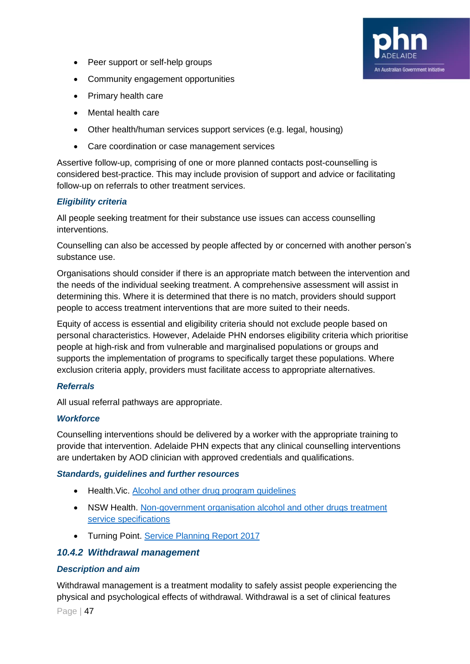- Peer support or self-help groups
- Community engagement opportunities
- Primary health care
- Mental health care
- Other health/human services support services (e.g. legal, housing)
- Care coordination or case management services

Assertive follow-up, comprising of one or more planned contacts post-counselling is considered best-practice. This may include provision of support and advice or facilitating follow-up on referrals to other treatment services.

An Australian Government Initiative

#### *Eligibility criteria*

All people seeking treatment for their substance use issues can access counselling interventions.

Counselling can also be accessed by people affected by or concerned with another person's substance use.

Organisations should consider if there is an appropriate match between the intervention and the needs of the individual seeking treatment. A comprehensive assessment will assist in determining this. Where it is determined that there is no match, providers should support people to access treatment interventions that are more suited to their needs.

Equity of access is essential and eligibility criteria should not exclude people based on personal characteristics. However, Adelaide PHN endorses eligibility criteria which prioritise people at high-risk and from vulnerable and marginalised populations or groups and supports the implementation of programs to specifically target these populations. Where exclusion criteria apply, providers must facilitate access to appropriate alternatives.

#### *Referrals*

All usual referral pathways are appropriate.

#### *Workforce*

Counselling interventions should be delivered by a worker with the appropriate training to provide that intervention. Adelaide PHN expects that any clinical counselling interventions are undertaken by AOD clinician with approved credentials and qualifications.

#### *Standards, guidelines and further resources*

- Health.Vic. [Alcohol and other drug program guidelines](https://www2.health.vic.gov.au/alcohol-and-drugs/aod-service-standards-guidelines/aod-program-guidelines)
- NSW Health. Non-government organisation alcohol and other drugs treatment [service specifications](https://www.health.nsw.gov.au/aod/resources/Publications/treatment-service-specifications.pdf)
- <span id="page-46-0"></span>• Turning Point. [Service Planning Report 2017](https://www.turningpoint.org.au/sites/default/files/2018-05/Service-Planning-Report-2017.pdf)

#### *10.4.2 Withdrawal management*

#### *Description and aim*

Withdrawal management is a treatment modality to safely assist people experiencing the physical and psychological effects of withdrawal. Withdrawal is a set of clinical features

Page | 47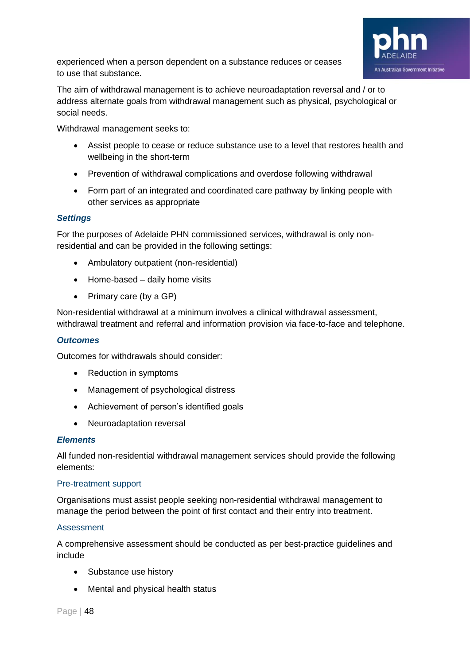

experienced when a person dependent on a substance reduces or ceases to use that substance.

The aim of withdrawal management is to achieve neuroadaptation reversal and / or to address alternate goals from withdrawal management such as physical, psychological or social needs.

Withdrawal management seeks to:

- Assist people to cease or reduce substance use to a level that restores health and wellbeing in the short-term
- Prevention of withdrawal complications and overdose following withdrawal
- Form part of an integrated and coordinated care pathway by linking people with other services as appropriate

#### *Settings*

For the purposes of Adelaide PHN commissioned services, withdrawal is only nonresidential and can be provided in the following settings:

- Ambulatory outpatient (non-residential)
- Home-based daily home visits
- Primary care (by a GP)

Non-residential withdrawal at a minimum involves a clinical withdrawal assessment, withdrawal treatment and referral and information provision via face-to-face and telephone.

#### *Outcomes*

Outcomes for withdrawals should consider:

- Reduction in symptoms
- Management of psychological distress
- Achievement of person's identified goals
- Neuroadaptation reversal

#### *Elements*

All funded non-residential withdrawal management services should provide the following elements:

#### Pre-treatment support

Organisations must assist people seeking non-residential withdrawal management to manage the period between the point of first contact and their entry into treatment.

#### Assessment

A comprehensive assessment should be conducted as per best-practice guidelines and include

- Substance use history
- Mental and physical health status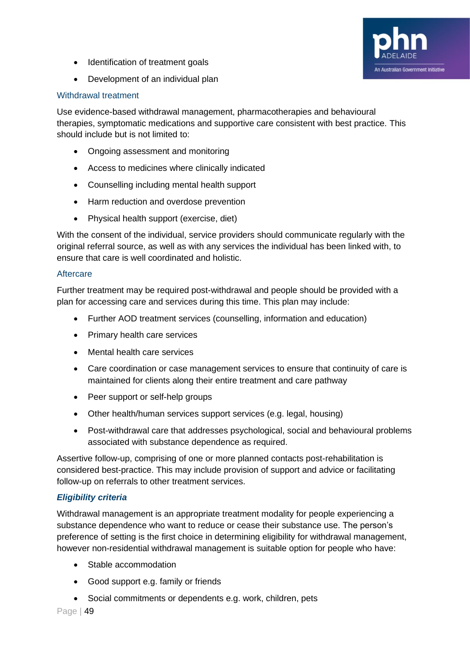

- Identification of treatment goals
- Development of an individual plan

#### Withdrawal treatment

Use evidence-based withdrawal management, pharmacotherapies and behavioural therapies, symptomatic medications and supportive care consistent with best practice. This should include but is not limited to:

- Ongoing assessment and monitoring
- Access to medicines where clinically indicated
- Counselling including mental health support
- Harm reduction and overdose prevention
- Physical health support (exercise, diet)

With the consent of the individual, service providers should communicate regularly with the original referral source, as well as with any services the individual has been linked with, to ensure that care is well coordinated and holistic.

#### **Aftercare**

Further treatment may be required post-withdrawal and people should be provided with a plan for accessing care and services during this time. This plan may include:

- Further AOD treatment services (counselling, information and education)
- Primary health care services
- Mental health care services
- Care coordination or case management services to ensure that continuity of care is maintained for clients along their entire treatment and care pathway
- Peer support or self-help groups
- Other health/human services support services (e.g. legal, housing)
- Post-withdrawal care that addresses psychological, social and behavioural problems associated with substance dependence as required.

Assertive follow-up, comprising of one or more planned contacts post-rehabilitation is considered best-practice. This may include provision of support and advice or facilitating follow-up on referrals to other treatment services.

#### *Eligibility criteria*

Withdrawal management is an appropriate treatment modality for people experiencing a substance dependence who want to reduce or cease their substance use. The person's preference of setting is the first choice in determining eligibility for withdrawal management, however non-residential withdrawal management is suitable option for people who have:

- Stable accommodation
- Good support e.g. family or friends
- Social commitments or dependents e.g. work, children, pets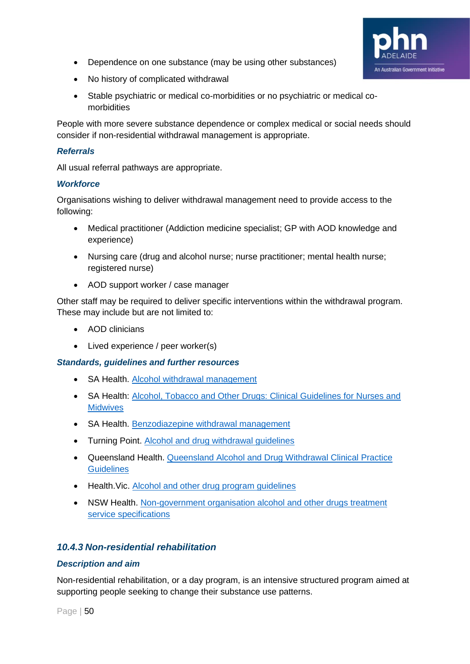- An Australian Government Initiative
- Dependence on one substance (may be using other substances)
- No history of complicated withdrawal
- Stable psychiatric or medical co-morbidities or no psychiatric or medical comorbidities

People with more severe substance dependence or complex medical or social needs should consider if non-residential withdrawal management is appropriate.

#### *Referrals*

All usual referral pathways are appropriate.

#### *Workforce*

Organisations wishing to deliver withdrawal management need to provide access to the following:

- Medical practitioner (Addiction medicine specialist; GP with AOD knowledge and experience)
- Nursing care (drug and alcohol nurse; nurse practitioner; mental health nurse; registered nurse)
- AOD support worker / case manager

Other staff may be required to deliver specific interventions within the withdrawal program. These may include but are not limited to:

- AOD clinicians
- Lived experience / peer worker(s)

#### *Standards, guidelines and further resources*

- SA Health. [Alcohol withdrawal management](https://www.sahealth.sa.gov.au/wps/wcm/connect/public+content/sa+health+internet/clinical+resources/clinical+programs+and+practice+guidelines/substance+misuse+and+dependence/substance+withdrawal+management/alcohol+withdrawal+management)
- SA Health: [Alcohol, Tobacco and Other Drugs: Clinical Guidelines for Nurses and](https://www.sahealth.sa.gov.au/wps/wcm/connect/9087368041793eefa6e1ef67a94f09f9/ATOD+Clinical+Guidelines+for+Nurses+and+Midwives+V3+2012-DASSA-April2014.pdf?MOD=AJPERES&CACHEID=ROOTWORKSPACE-9087368041793eefa6e1ef67a94f09f9-n5i-B3E)  **[Midwives](https://www.sahealth.sa.gov.au/wps/wcm/connect/9087368041793eefa6e1ef67a94f09f9/ATOD+Clinical+Guidelines+for+Nurses+and+Midwives+V3+2012-DASSA-April2014.pdf?MOD=AJPERES&CACHEID=ROOTWORKSPACE-9087368041793eefa6e1ef67a94f09f9-n5i-B3E)**
- SA Health. [Benzodiazepine withdrawal management](https://www.sahealth.sa.gov.au/wps/wcm/connect/public+content/sa+health+internet/clinical+resources/clinical+programs+and+practice+guidelines/substance+misuse+and+dependence/substance+withdrawal+management/benzodiazepine+withdrawal+management)
- Turning Point. [Alcohol and drug withdrawal guidelines](https://www.turningpoint.org.au/sites/default/files/inline-files/Alcohol-and-Drug-Withdrawal-Guidelines-2018.pdf)
- Queensland Health. [Queensland Alcohol and Drug Withdrawal Clinical Practice](https://www.health.qld.gov.au/__data/assets/pdf_file/0026/444419/detox-guidelines.pdf)  **[Guidelines](https://www.health.qld.gov.au/__data/assets/pdf_file/0026/444419/detox-guidelines.pdf)**
- Health.Vic. [Alcohol and other drug program guidelines](https://www2.health.vic.gov.au/alcohol-and-drugs/aod-service-standards-guidelines/aod-program-guidelines)
- NSW Health. [Non-government organisation alcohol and other drugs treatment](https://www.health.nsw.gov.au/aod/resources/Publications/treatment-service-specifications.pdf)  [service specifications](https://www.health.nsw.gov.au/aod/resources/Publications/treatment-service-specifications.pdf)

#### <span id="page-49-0"></span>*10.4.3 Non-residential rehabilitation*

#### *Description and aim*

Non-residential rehabilitation, or a day program, is an intensive structured program aimed at supporting people seeking to change their substance use patterns.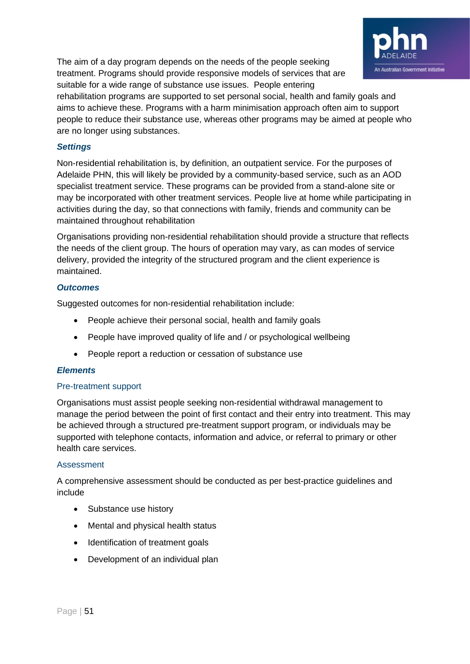

The aim of a day program depends on the needs of the people seeking treatment. Programs should provide responsive models of services that are suitable for a wide range of substance use issues. People entering

rehabilitation programs are supported to set personal social, health and family goals and aims to achieve these. Programs with a harm minimisation approach often aim to support people to reduce their substance use, whereas other programs may be aimed at people who are no longer using substances.

#### *Settings*

Non-residential rehabilitation is, by definition, an outpatient service. For the purposes of Adelaide PHN, this will likely be provided by a community-based service, such as an AOD specialist treatment service. These programs can be provided from a stand-alone site or may be incorporated with other treatment services. People live at home while participating in activities during the day, so that connections with family, friends and community can be maintained throughout rehabilitation

Organisations providing non-residential rehabilitation should provide a structure that reflects the needs of the client group. The hours of operation may vary, as can modes of service delivery, provided the integrity of the structured program and the client experience is maintained.

#### *Outcomes*

Suggested outcomes for non-residential rehabilitation include:

- People achieve their personal social, health and family goals
- People have improved quality of life and / or psychological wellbeing
- People report a reduction or cessation of substance use

#### *Elements*

#### Pre-treatment support

Organisations must assist people seeking non-residential withdrawal management to manage the period between the point of first contact and their entry into treatment. This may be achieved through a structured pre-treatment support program, or individuals may be supported with telephone contacts, information and advice, or referral to primary or other health care services.

#### Assessment

A comprehensive assessment should be conducted as per best-practice guidelines and include

- Substance use history
- Mental and physical health status
- Identification of treatment goals
- Development of an individual plan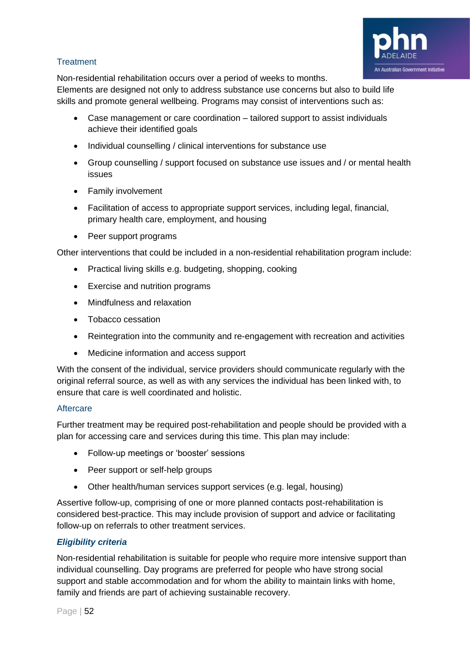

#### **Treatment**

Non-residential rehabilitation occurs over a period of weeks to months.

Elements are designed not only to address substance use concerns but also to build life skills and promote general wellbeing. Programs may consist of interventions such as:

- Case management or care coordination tailored support to assist individuals achieve their identified goals
- Individual counselling / clinical interventions for substance use
- Group counselling / support focused on substance use issues and / or mental health issues
- Family involvement
- Facilitation of access to appropriate support services, including legal, financial, primary health care, employment, and housing
- Peer support programs

Other interventions that could be included in a non-residential rehabilitation program include:

- Practical living skills e.g. budgeting, shopping, cooking
- Exercise and nutrition programs
- Mindfulness and relaxation
- Tobacco cessation
- Reintegration into the community and re-engagement with recreation and activities
- Medicine information and access support

With the consent of the individual, service providers should communicate regularly with the original referral source, as well as with any services the individual has been linked with, to ensure that care is well coordinated and holistic.

#### **Aftercare**

Further treatment may be required post-rehabilitation and people should be provided with a plan for accessing care and services during this time. This plan may include:

- Follow-up meetings or 'booster' sessions
- Peer support or self-help groups
- Other health/human services support services (e.g. legal, housing)

Assertive follow-up, comprising of one or more planned contacts post-rehabilitation is considered best-practice. This may include provision of support and advice or facilitating follow-up on referrals to other treatment services.

#### *Eligibility criteria*

Non-residential rehabilitation is suitable for people who require more intensive support than individual counselling. Day programs are preferred for people who have strong social support and stable accommodation and for whom the ability to maintain links with home, family and friends are part of achieving sustainable recovery.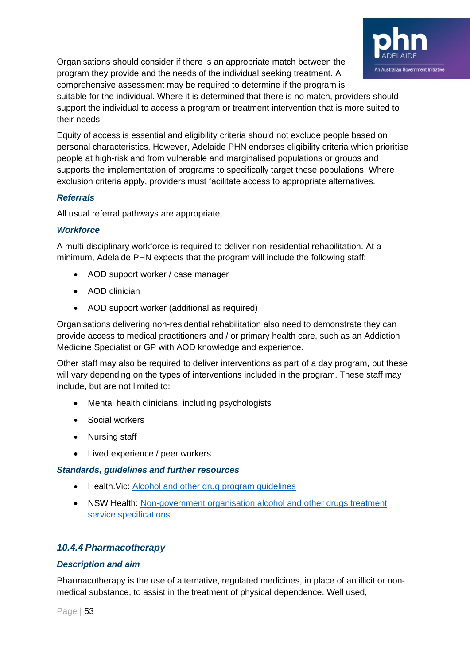

Organisations should consider if there is an appropriate match between the program they provide and the needs of the individual seeking treatment. A comprehensive assessment may be required to determine if the program is

suitable for the individual. Where it is determined that there is no match, providers should support the individual to access a program or treatment intervention that is more suited to their needs.

Equity of access is essential and eligibility criteria should not exclude people based on personal characteristics. However, Adelaide PHN endorses eligibility criteria which prioritise people at high-risk and from vulnerable and marginalised populations or groups and supports the implementation of programs to specifically target these populations. Where exclusion criteria apply, providers must facilitate access to appropriate alternatives.

#### *Referrals*

All usual referral pathways are appropriate.

#### *Workforce*

A multi-disciplinary workforce is required to deliver non-residential rehabilitation. At a minimum, Adelaide PHN expects that the program will include the following staff:

- AOD support worker / case manager
- AOD clinician
- AOD support worker (additional as required)

Organisations delivering non-residential rehabilitation also need to demonstrate they can provide access to medical practitioners and / or primary health care, such as an Addiction Medicine Specialist or GP with AOD knowledge and experience.

Other staff may also be required to deliver interventions as part of a day program, but these will vary depending on the types of interventions included in the program. These staff may include, but are not limited to:

- Mental health clinicians, including psychologists
- Social workers
- Nursing staff
- Lived experience / peer workers

#### *Standards, guidelines and further resources*

- Health. Vic: [Alcohol and other drug program guidelines](https://www2.health.vic.gov.au/alcohol-and-drugs/aod-service-standards-guidelines/aod-program-guidelines)
- NSW Health: [Non-government organisation alcohol and other drugs treatment](https://www.health.nsw.gov.au/aod/resources/Publications/treatment-service-specifications.pdf)  [service specifications](https://www.health.nsw.gov.au/aod/resources/Publications/treatment-service-specifications.pdf)

#### <span id="page-52-0"></span>*10.4.4 Pharmacotherapy*

#### *Description and aim*

Pharmacotherapy is the use of alternative, regulated medicines, in place of an illicit or nonmedical substance, to assist in the treatment of physical dependence. Well used,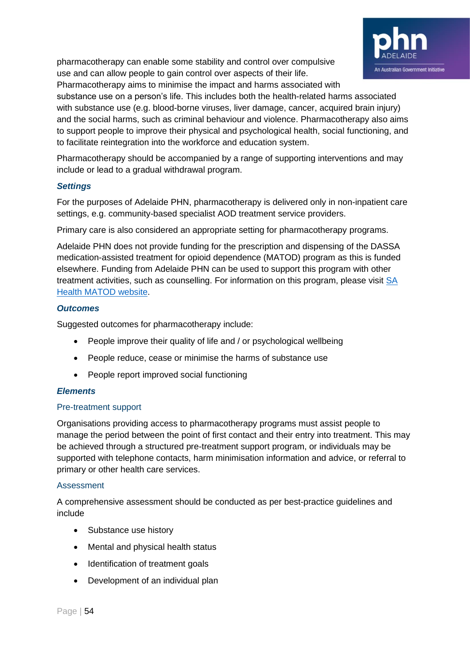pharmacotherapy can enable some stability and control over compulsive use and can allow people to gain control over aspects of their life.



Pharmacotherapy aims to minimise the impact and harms associated with substance use on a person's life. This includes both the health-related harms associated with substance use (e.g. blood-borne viruses, liver damage, cancer, acquired brain injury) and the social harms, such as criminal behaviour and violence. Pharmacotherapy also aims to support people to improve their physical and psychological health, social functioning, and to facilitate reintegration into the workforce and education system.

Pharmacotherapy should be accompanied by a range of supporting interventions and may include or lead to a gradual withdrawal program.

#### *Settings*

For the purposes of Adelaide PHN, pharmacotherapy is delivered only in non-inpatient care settings, e.g. community-based specialist AOD treatment service providers.

Primary care is also considered an appropriate setting for pharmacotherapy programs.

Adelaide PHN does not provide funding for the prescription and dispensing of the DASSA medication-assisted treatment for opioid dependence (MATOD) program as this is funded elsewhere. Funding from Adelaide PHN can be used to support this program with other treatment activities, such as counselling. For information on this program, please visit [SA](https://www.sahealth.sa.gov.au/wps/wcm/connect/public+content/sa+health+internet/clinical+resources/clinical+programs+and+practice+guidelines/medicines+and+drugs/programs+for+the+prescribing+and+supply+of+medicines/medication+assisted+treatment+for+opioid+dependence+matod+program/medication+assisted+treatment+for+opioid+dependence+matod+program+information)  Health [MATOD website.](https://www.sahealth.sa.gov.au/wps/wcm/connect/public+content/sa+health+internet/clinical+resources/clinical+programs+and+practice+guidelines/medicines+and+drugs/programs+for+the+prescribing+and+supply+of+medicines/medication+assisted+treatment+for+opioid+dependence+matod+program/medication+assisted+treatment+for+opioid+dependence+matod+program+information)

#### *Outcomes*

Suggested outcomes for pharmacotherapy include:

- People improve their quality of life and / or psychological wellbeing
- People reduce, cease or minimise the harms of substance use
- People report improved social functioning

#### *Elements*

#### Pre-treatment support

Organisations providing access to pharmacotherapy programs must assist people to manage the period between the point of first contact and their entry into treatment. This may be achieved through a structured pre-treatment support program, or individuals may be supported with telephone contacts, harm minimisation information and advice, or referral to primary or other health care services.

#### **Assessment**

A comprehensive assessment should be conducted as per best-practice guidelines and include

- Substance use history
- Mental and physical health status
- Identification of treatment goals
- Development of an individual plan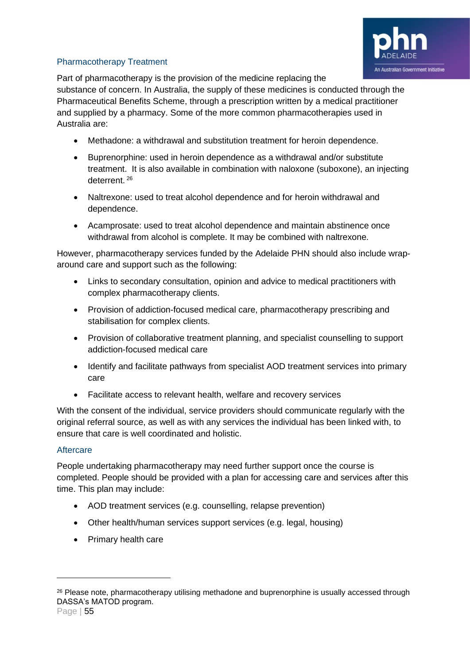

#### Pharmacotherapy Treatment

Part of pharmacotherapy is the provision of the medicine replacing the

substance of concern. In Australia, the supply of these medicines is conducted through the Pharmaceutical Benefits Scheme, through a prescription written by a medical practitioner and supplied by a pharmacy. Some of the more common pharmacotherapies used in Australia are:

- Methadone: a withdrawal and substitution treatment for heroin dependence.
- Buprenorphine: used in heroin dependence as a withdrawal and/or substitute treatment. It is also available in combination with naloxone (suboxone), an injecting deterrent. <sup>26</sup>
- Naltrexone: used to treat alcohol dependence and for heroin withdrawal and dependence.
- Acamprosate: used to treat alcohol dependence and maintain abstinence once withdrawal from alcohol is complete. It may be combined with naltrexone.

However, pharmacotherapy services funded by the Adelaide PHN should also include wraparound care and support such as the following:

- Links to secondary consultation, opinion and advice to medical practitioners with complex pharmacotherapy clients.
- Provision of addiction-focused medical care, pharmacotherapy prescribing and stabilisation for complex clients.
- Provision of collaborative treatment planning, and specialist counselling to support addiction-focused medical care
- Identify and facilitate pathways from specialist AOD treatment services into primary care
- Facilitate access to relevant health, welfare and recovery services

With the consent of the individual, service providers should communicate regularly with the original referral source, as well as with any services the individual has been linked with, to ensure that care is well coordinated and holistic.

#### **Aftercare**

People undertaking pharmacotherapy may need further support once the course is completed. People should be provided with a plan for accessing care and services after this time. This plan may include:

- AOD treatment services (e.g. counselling, relapse prevention)
- Other health/human services support services (e.g. legal, housing)
- Primary health care

<sup>&</sup>lt;sup>26</sup> Please note, pharmacotherapy utilising methadone and buprenorphine is usually accessed through DASSA's MATOD program.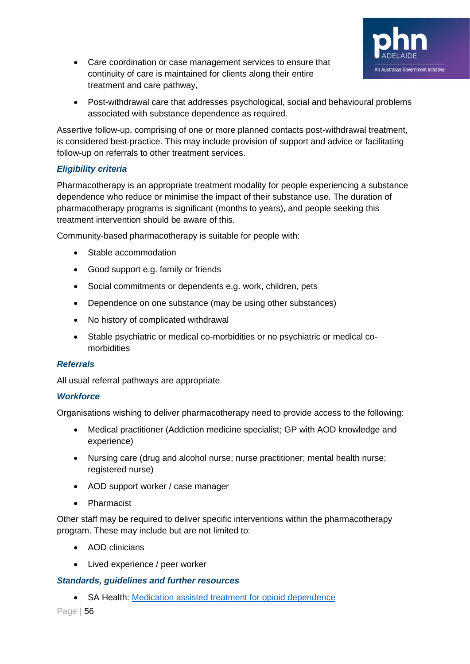

- Care coordination or case management services to ensure that continuity of care is maintained for clients along their entire treatment and care pathway,
- Post-withdrawal care that addresses psychological, social and behavioural problems associated with substance dependence as required.

Assertive follow-up, comprising of one or more planned contacts post-withdrawal treatment, is considered best-practice. This may include provision of support and advice or facilitating follow-up on referrals to other treatment services.

#### *Eligibility criteria*

Pharmacotherapy is an appropriate treatment modality for people experiencing a substance dependence who reduce or minimise the impact of their substance use. The duration of pharmacotherapy programs is significant (months to years), and people seeking this treatment intervention should be aware of this.

Community-based pharmacotherapy is suitable for people with:

- Stable accommodation
- Good support e.g. family or friends
- Social commitments or dependents e.g. work, children, pets
- Dependence on one substance (may be using other substances)
- No history of complicated withdrawal
- Stable psychiatric or medical co-morbidities or no psychiatric or medical comorbidities

#### *Referrals*

All usual referral pathways are appropriate.

#### *Workforce*

Organisations wishing to deliver pharmacotherapy need to provide access to the following:

- Medical practitioner (Addiction medicine specialist; GP with AOD knowledge and experience)
- Nursing care (drug and alcohol nurse; nurse practitioner; mental health nurse; registered nurse)
- AOD support worker / case manager
- Pharmacist

Other staff may be required to deliver specific interventions within the pharmacotherapy program. These may include but are not limited to:

- AOD clinicians
- Lived experience / peer worker

#### *Standards, guidelines and further resources*

• SA Health: [Medication assisted treatment for opioid dependence](https://www.sahealth.sa.gov.au/wps/wcm/connect/public+content/sa+health+internet/clinical+resources/clinical+programs+and+practice+guidelines/medicines+and+drugs/programs+for+the+prescribing+and+supply+of+medicines/medication+assisted+treatment+for+opioid+dependence+matod+program/medication+assisted+treatment+for+opioid+dependence+matod+program+information)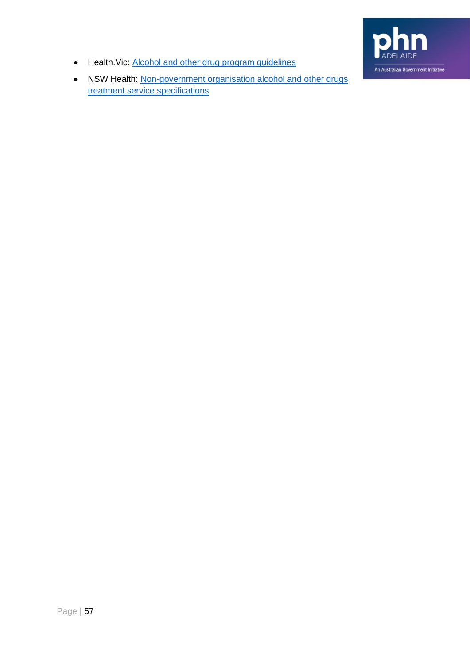

- Health. Vic: [Alcohol and other drug program guidelines](https://www2.health.vic.gov.au/alcohol-and-drugs/aod-service-standards-guidelines/aod-program-guidelines)
- NSW Health: Non-government organisation alcohol and other drugs [treatment service specifications](https://www.health.nsw.gov.au/aod/resources/Publications/treatment-service-specifications.pdf)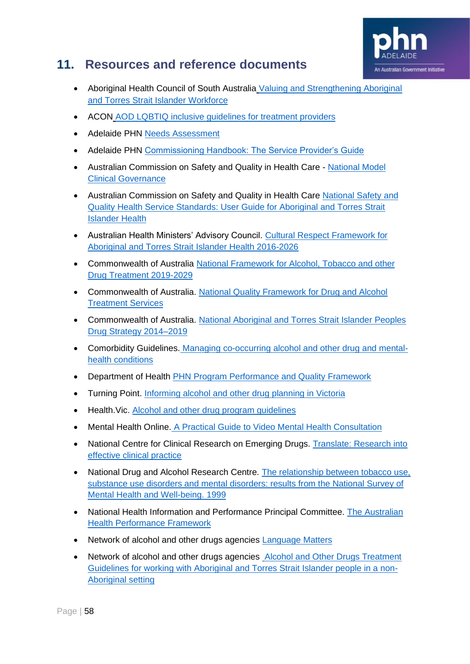

# <span id="page-57-0"></span>**11. Resources and reference documents**

- Aboriginal Health Council of South Australia [Valuing and Strengthening Aboriginal](https://ahcsa.org.au/app/uploads/2014/11/AHC5321_Managers_Booklet_final.pdf)  [and Torres Strait Islander Workforce](https://ahcsa.org.au/app/uploads/2014/11/AHC5321_Managers_Booklet_final.pdf)
- ACON [AOD LQBTIQ inclusive guidelines for treatment providers](https://www.acon.org.au/wp-content/uploads/2019/02/AOD-Inclusive-Practice-Guidelines-for-Treatment-Providers_A4_v11.pdf)
- Adelaide PHN [Needs Assessment](https://adelaidephn.com.au/our-work/understanding-our-region/needs-assessment/)
- Adelaide PHN [Commissioning Handbook: The Service Provider's Guide](https://adelaidephn.com.au/assets/Commissioning_Handbook_APHN.pdf)
- Australian Commission on Safety and Quality in Health Care National Model [Clinical Governance](https://www.safetyandquality.gov.au/sites/default/files/migrated/National-Model-Clinical-Governance-Framework.pdf)
- Australian Commission on Safety and Quality in Health Care National Safety and [Quality Health Service Standards: User Guide for Aboriginal and Torres Strait](https://www.safetyandquality.gov.au/sites/default/files/migrated/National-Safety-and-Quality-Health-Service-Standards-User-Guide-for-Aboriginal-and-Torres-Strait-Islander-Health.pdf)  [Islander Health](https://www.safetyandquality.gov.au/sites/default/files/migrated/National-Safety-and-Quality-Health-Service-Standards-User-Guide-for-Aboriginal-and-Torres-Strait-Islander-Health.pdf)
- Australian Health Ministers' Advisory Council. [Cultural Respect Framework for](http://www.coaghealthcouncil.gov.au/Portals/0/National%20Cultural%20Respect%20Framework%20for%20Aboriginal%20and%20Torres%20Strait%20Islander%20Health%202016_2026_2.pdf)  [Aboriginal and Torres Strait Islander Health 2016-2026](http://www.coaghealthcouncil.gov.au/Portals/0/National%20Cultural%20Respect%20Framework%20for%20Aboriginal%20and%20Torres%20Strait%20Islander%20Health%202016_2026_2.pdf)
- Commonwealth of Australia [National Framework for Alcohol, Tobacco and other](https://www.health.gov.au/resources/publications/national-framework-for-alcohol-tobacco-and-other-drug-treatment-2019-29#:~:text=Description%3A,alcohol)  [Drug Treatment 2019-2029](https://www.health.gov.au/resources/publications/national-framework-for-alcohol-tobacco-and-other-drug-treatment-2019-29#:~:text=Description%3A,alcohol)
- Commonwealth of Australia. [National Quality Framework for Drug and Alcohol](https://www.health.gov.au/resources/publications/national-quality-framework-for-drug-and-alcohol-treatment-services)  [Treatment Services](https://www.health.gov.au/resources/publications/national-quality-framework-for-drug-and-alcohol-treatment-services)
- Commonwealth of Australia. [National Aboriginal and Torres Strait Islander Peoples](https://www.health.gov.au/resources/publications/national-aboriginal-and-torres-strait-islander-peoples-drug-strategy-2014-2019)  [Drug Strategy 2014–2019](https://www.health.gov.au/resources/publications/national-aboriginal-and-torres-strait-islander-peoples-drug-strategy-2014-2019)
- Comorbidity Guidelines. Managing co-occurring [alcohol and other drug and mental](https://comorbidityguidelines.org.au/b2-identifying-comorbidity/standardised-screening-and-assessment)[health conditions](https://comorbidityguidelines.org.au/b2-identifying-comorbidity/standardised-screening-and-assessment)
- Department of Health [PHN Program Performance and Quality Framework](https://www1.health.gov.au/internet/main/publishing.nsf/Content/PHN-Performance_Framework)
- Turning Point. [Informing alcohol and other drug planning in Victoria](https://www.turningpoint.org.au/sites/default/files/2018-05/Service-Planning-Report-2017.pdf)
- Health. Vic. [Alcohol and other drug program guidelines](https://www2.health.vic.gov.au/alcohol-and-drugs/aod-service-standards-guidelines/aod-program-guidelines)
- Mental Health Online. [A Practical Guide to Video Mental Health Consultation](https://www.mentalhealthonline.org.au/Assets/A%20Practical%20Guide%20to%20Video%20Mental%20Health%20Consultation.pdf)
- National Centre for Clinical Research on Emerging Drugs. Translate: Research into [effective clinical practice](https://nccred.org.au/translate/)
- National Drug and Alcohol Research Centre. The relationship between tobacco use, [substance use disorders and mental disorders: results from the National Survey of](https://aphn365.sharepoint.com/Project/MHP/AOD/1.%20Design/Redesign%202020/•%09https:/ndarc.med.unsw.edu.au/resource/relationship-between-tobacco-use-substance-use-disorders-and-mental-disorders-results)  [Mental Health and Well-being. 1999](https://aphn365.sharepoint.com/Project/MHP/AOD/1.%20Design/Redesign%202020/•%09https:/ndarc.med.unsw.edu.au/resource/relationship-between-tobacco-use-substance-use-disorders-and-mental-disorders-results)
- National Health Information and Performance Principal Committee. The Australian [Health Performance Framework](https://aphn365.sharepoint.com/Project/MHP/AOD/1.%20Design/Redesign%202020/•%09https:/www.coaghealthcouncil.gov.au/Portals/0/OOS318_Attachment%201.pdf)
- Network of alcohol and other drugs agencies [Language Matters](https://www.nada.org.au/wp-content/uploads/2018/03/language_matters_-_online_-_final.pdf)
- Network of alcohol and other drugs agencies Alcohol and Other Drugs Treatment [Guidelines for working with Aboriginal and Torres Strait Islander people in a non-](https://aphn365.sharepoint.com/Project/MHP/AOD/1.%20Design/Redesign%202020/NADA-Aboriginal-Guidelines-Web-2.pdf?CT=1598231670188&OR=ItemsView)[Aboriginal setting](https://aphn365.sharepoint.com/Project/MHP/AOD/1.%20Design/Redesign%202020/NADA-Aboriginal-Guidelines-Web-2.pdf?CT=1598231670188&OR=ItemsView)